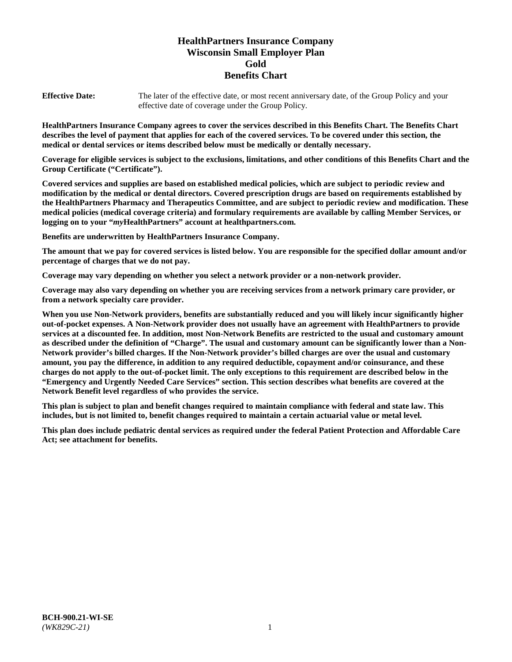# **HealthPartners Insurance Company Wisconsin Small Employer Plan Gold Benefits Chart**

**Effective Date:** The later of the effective date, or most recent anniversary date, of the Group Policy and your effective date of coverage under the Group Policy.

**HealthPartners Insurance Company agrees to cover the services described in this Benefits Chart. The Benefits Chart describes the level of payment that applies for each of the covered services. To be covered under this section, the medical or dental services or items described below must be medically or dentally necessary.**

**Coverage for eligible services is subject to the exclusions, limitations, and other conditions of this Benefits Chart and the Group Certificate ("Certificate").**

**Covered services and supplies are based on established medical policies, which are subject to periodic review and modification by the medical or dental directors. Covered prescription drugs are based on requirements established by the HealthPartners Pharmacy and Therapeutics Committee, and are subject to periodic review and modification. These medical policies (medical coverage criteria) and formulary requirements are available by calling Member Services, or logging on to your "***my***HealthPartners" account at [healthpartners.com.](https://www.healthpartners.com/hp/index.html)**

**Benefits are underwritten by HealthPartners Insurance Company.**

**The amount that we pay for covered services is listed below. You are responsible for the specified dollar amount and/or percentage of charges that we do not pay.**

**Coverage may vary depending on whether you select a network provider or a non-network provider.**

**Coverage may also vary depending on whether you are receiving services from a network primary care provider, or from a network specialty care provider.**

**When you use Non-Network providers, benefits are substantially reduced and you will likely incur significantly higher out-of-pocket expenses. A Non-Network provider does not usually have an agreement with HealthPartners to provide services at a discounted fee. In addition, most Non-Network Benefits are restricted to the usual and customary amount as described under the definition of "Charge". The usual and customary amount can be significantly lower than a Non-Network provider's billed charges. If the Non-Network provider's billed charges are over the usual and customary amount, you pay the difference, in addition to any required deductible, copayment and/or coinsurance, and these charges do not apply to the out-of-pocket limit. The only exceptions to this requirement are described below in the "Emergency and Urgently Needed Care Services" section. This section describes what benefits are covered at the Network Benefit level regardless of who provides the service.**

**This plan is subject to plan and benefit changes required to maintain compliance with federal and state law. This includes, but is not limited to, benefit changes required to maintain a certain actuarial value or metal level.**

**This plan does include pediatric dental services as required under the federal Patient Protection and Affordable Care Act; see attachment for benefits.**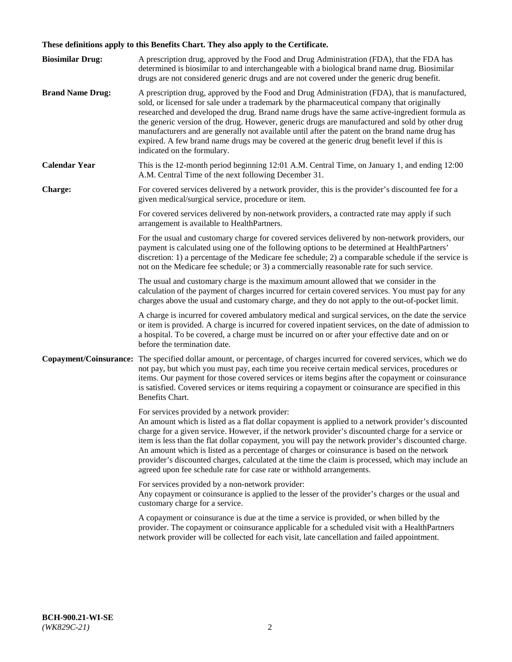# **These definitions apply to this Benefits Chart. They also apply to the Certificate.**

| <b>Biosimilar Drug:</b> | A prescription drug, approved by the Food and Drug Administration (FDA), that the FDA has<br>determined is biosimilar to and interchangeable with a biological brand name drug. Biosimilar<br>drugs are not considered generic drugs and are not covered under the generic drug benefit.                                                                                                                                                                                                                                                                                                                                                     |
|-------------------------|----------------------------------------------------------------------------------------------------------------------------------------------------------------------------------------------------------------------------------------------------------------------------------------------------------------------------------------------------------------------------------------------------------------------------------------------------------------------------------------------------------------------------------------------------------------------------------------------------------------------------------------------|
| <b>Brand Name Drug:</b> | A prescription drug, approved by the Food and Drug Administration (FDA), that is manufactured,<br>sold, or licensed for sale under a trademark by the pharmaceutical company that originally<br>researched and developed the drug. Brand name drugs have the same active-ingredient formula as<br>the generic version of the drug. However, generic drugs are manufactured and sold by other drug<br>manufacturers and are generally not available until after the patent on the brand name drug has<br>expired. A few brand name drugs may be covered at the generic drug benefit level if this is<br>indicated on the formulary.           |
| <b>Calendar Year</b>    | This is the 12-month period beginning 12:01 A.M. Central Time, on January 1, and ending 12:00<br>A.M. Central Time of the next following December 31.                                                                                                                                                                                                                                                                                                                                                                                                                                                                                        |
| <b>Charge:</b>          | For covered services delivered by a network provider, this is the provider's discounted fee for a<br>given medical/surgical service, procedure or item.                                                                                                                                                                                                                                                                                                                                                                                                                                                                                      |
|                         | For covered services delivered by non-network providers, a contracted rate may apply if such<br>arrangement is available to HealthPartners.                                                                                                                                                                                                                                                                                                                                                                                                                                                                                                  |
|                         | For the usual and customary charge for covered services delivered by non-network providers, our<br>payment is calculated using one of the following options to be determined at HealthPartners'<br>discretion: 1) a percentage of the Medicare fee schedule; 2) a comparable schedule if the service is<br>not on the Medicare fee schedule; or 3) a commercially reasonable rate for such service.                                                                                                                                                                                                                                          |
|                         | The usual and customary charge is the maximum amount allowed that we consider in the<br>calculation of the payment of charges incurred for certain covered services. You must pay for any<br>charges above the usual and customary charge, and they do not apply to the out-of-pocket limit.                                                                                                                                                                                                                                                                                                                                                 |
|                         | A charge is incurred for covered ambulatory medical and surgical services, on the date the service<br>or item is provided. A charge is incurred for covered inpatient services, on the date of admission to<br>a hospital. To be covered, a charge must be incurred on or after your effective date and on or<br>before the termination date.                                                                                                                                                                                                                                                                                                |
| Copayment/Coinsurance:  | The specified dollar amount, or percentage, of charges incurred for covered services, which we do<br>not pay, but which you must pay, each time you receive certain medical services, procedures or<br>items. Our payment for those covered services or items begins after the copayment or coinsurance<br>is satisfied. Covered services or items requiring a copayment or coinsurance are specified in this<br>Benefits Chart.                                                                                                                                                                                                             |
|                         | For services provided by a network provider:<br>An amount which is listed as a flat dollar copayment is applied to a network provider's discounted<br>charge for a given service. However, if the network provider's discounted charge for a service or<br>item is less than the flat dollar copayment, you will pay the network provider's discounted charge.<br>An amount which is listed as a percentage of charges or coinsurance is based on the network<br>provider's discounted charges, calculated at the time the claim is processed, which may include an<br>agreed upon fee schedule rate for case rate or withhold arrangements. |
|                         | For services provided by a non-network provider:<br>Any copayment or coinsurance is applied to the lesser of the provider's charges or the usual and<br>customary charge for a service.                                                                                                                                                                                                                                                                                                                                                                                                                                                      |
|                         | A copayment or coinsurance is due at the time a service is provided, or when billed by the<br>provider. The copayment or coinsurance applicable for a scheduled visit with a HealthPartners<br>network provider will be collected for each visit, late cancellation and failed appointment.                                                                                                                                                                                                                                                                                                                                                  |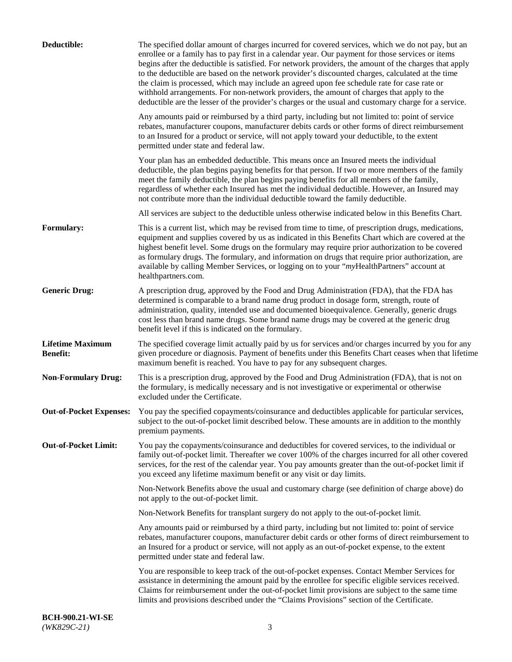| Deductible:                                | The specified dollar amount of charges incurred for covered services, which we do not pay, but an<br>enrollee or a family has to pay first in a calendar year. Our payment for those services or items<br>begins after the deductible is satisfied. For network providers, the amount of the charges that apply<br>to the deductible are based on the network provider's discounted charges, calculated at the time<br>the claim is processed, which may include an agreed upon fee schedule rate for case rate or<br>withhold arrangements. For non-network providers, the amount of charges that apply to the<br>deductible are the lesser of the provider's charges or the usual and customary charge for a service. |
|--------------------------------------------|-------------------------------------------------------------------------------------------------------------------------------------------------------------------------------------------------------------------------------------------------------------------------------------------------------------------------------------------------------------------------------------------------------------------------------------------------------------------------------------------------------------------------------------------------------------------------------------------------------------------------------------------------------------------------------------------------------------------------|
|                                            | Any amounts paid or reimbursed by a third party, including but not limited to: point of service<br>rebates, manufacturer coupons, manufacturer debits cards or other forms of direct reimbursement<br>to an Insured for a product or service, will not apply toward your deductible, to the extent<br>permitted under state and federal law.                                                                                                                                                                                                                                                                                                                                                                            |
|                                            | Your plan has an embedded deductible. This means once an Insured meets the individual<br>deductible, the plan begins paying benefits for that person. If two or more members of the family<br>meet the family deductible, the plan begins paying benefits for all members of the family,<br>regardless of whether each Insured has met the individual deductible. However, an Insured may<br>not contribute more than the individual deductible toward the family deductible.                                                                                                                                                                                                                                           |
|                                            | All services are subject to the deductible unless otherwise indicated below in this Benefits Chart.                                                                                                                                                                                                                                                                                                                                                                                                                                                                                                                                                                                                                     |
| <b>Formulary:</b>                          | This is a current list, which may be revised from time to time, of prescription drugs, medications,<br>equipment and supplies covered by us as indicated in this Benefits Chart which are covered at the<br>highest benefit level. Some drugs on the formulary may require prior authorization to be covered<br>as formulary drugs. The formulary, and information on drugs that require prior authorization, are<br>available by calling Member Services, or logging on to your "myHealthPartners" account at<br>healthpartners.com.                                                                                                                                                                                   |
| <b>Generic Drug:</b>                       | A prescription drug, approved by the Food and Drug Administration (FDA), that the FDA has<br>determined is comparable to a brand name drug product in dosage form, strength, route of<br>administration, quality, intended use and documented bioequivalence. Generally, generic drugs<br>cost less than brand name drugs. Some brand name drugs may be covered at the generic drug<br>benefit level if this is indicated on the formulary.                                                                                                                                                                                                                                                                             |
| <b>Lifetime Maximum</b><br><b>Benefit:</b> | The specified coverage limit actually paid by us for services and/or charges incurred by you for any<br>given procedure or diagnosis. Payment of benefits under this Benefits Chart ceases when that lifetime<br>maximum benefit is reached. You have to pay for any subsequent charges.                                                                                                                                                                                                                                                                                                                                                                                                                                |
| <b>Non-Formulary Drug:</b>                 | This is a prescription drug, approved by the Food and Drug Administration (FDA), that is not on<br>the formulary, is medically necessary and is not investigative or experimental or otherwise<br>excluded under the Certificate.                                                                                                                                                                                                                                                                                                                                                                                                                                                                                       |
|                                            | Out-of-Pocket Expenses: You pay the specified copayments/coinsurance and deductibles applicable for particular services,<br>subject to the out-of-pocket limit described below. These amounts are in addition to the monthly<br>premium payments.                                                                                                                                                                                                                                                                                                                                                                                                                                                                       |
| <b>Out-of-Pocket Limit:</b>                | You pay the copayments/coinsurance and deductibles for covered services, to the individual or<br>family out-of-pocket limit. Thereafter we cover 100% of the charges incurred for all other covered<br>services, for the rest of the calendar year. You pay amounts greater than the out-of-pocket limit if<br>you exceed any lifetime maximum benefit or any visit or day limits.                                                                                                                                                                                                                                                                                                                                      |
|                                            | Non-Network Benefits above the usual and customary charge (see definition of charge above) do<br>not apply to the out-of-pocket limit.                                                                                                                                                                                                                                                                                                                                                                                                                                                                                                                                                                                  |
|                                            | Non-Network Benefits for transplant surgery do not apply to the out-of-pocket limit.                                                                                                                                                                                                                                                                                                                                                                                                                                                                                                                                                                                                                                    |
|                                            | Any amounts paid or reimbursed by a third party, including but not limited to: point of service<br>rebates, manufacturer coupons, manufacturer debit cards or other forms of direct reimbursement to<br>an Insured for a product or service, will not apply as an out-of-pocket expense, to the extent<br>permitted under state and federal law.                                                                                                                                                                                                                                                                                                                                                                        |
|                                            | You are responsible to keep track of the out-of-pocket expenses. Contact Member Services for<br>assistance in determining the amount paid by the enrollee for specific eligible services received.<br>Claims for reimbursement under the out-of-pocket limit provisions are subject to the same time<br>limits and provisions described under the "Claims Provisions" section of the Certificate.                                                                                                                                                                                                                                                                                                                       |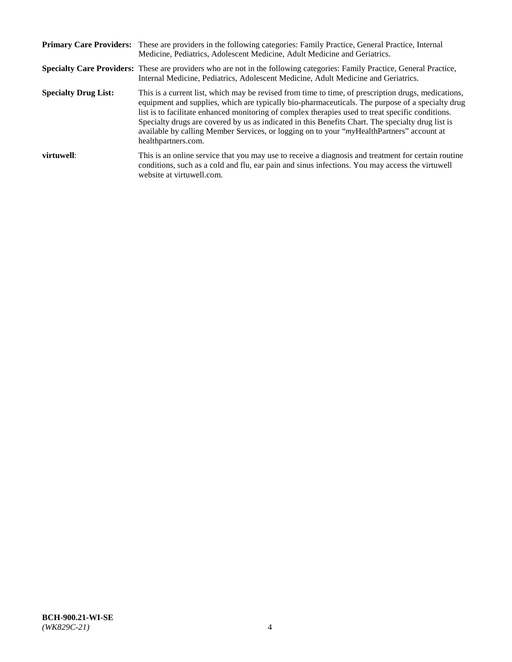|                             | Primary Care Providers: These are providers in the following categories: Family Practice, General Practice, Internal<br>Medicine, Pediatrics, Adolescent Medicine, Adult Medicine and Geriatrics.                                                                                                                                                                                                                                                                                                                                     |
|-----------------------------|---------------------------------------------------------------------------------------------------------------------------------------------------------------------------------------------------------------------------------------------------------------------------------------------------------------------------------------------------------------------------------------------------------------------------------------------------------------------------------------------------------------------------------------|
|                             | <b>Specialty Care Providers:</b> These are providers who are not in the following categories: Family Practice, General Practice,<br>Internal Medicine, Pediatrics, Adolescent Medicine, Adult Medicine and Geriatrics.                                                                                                                                                                                                                                                                                                                |
| <b>Specialty Drug List:</b> | This is a current list, which may be revised from time to time, of prescription drugs, medications,<br>equipment and supplies, which are typically bio-pharmaceuticals. The purpose of a specialty drug<br>list is to facilitate enhanced monitoring of complex therapies used to treat specific conditions.<br>Specialty drugs are covered by us as indicated in this Benefits Chart. The specialty drug list is<br>available by calling Member Services, or logging on to your "myHealthPartners" account at<br>healthpartners.com. |
| virtuwell:                  | This is an online service that you may use to receive a diagnosis and treatment for certain routine<br>conditions, such as a cold and flu, ear pain and sinus infections. You may access the virtuwell<br>website at virtuwell.com.                                                                                                                                                                                                                                                                                                   |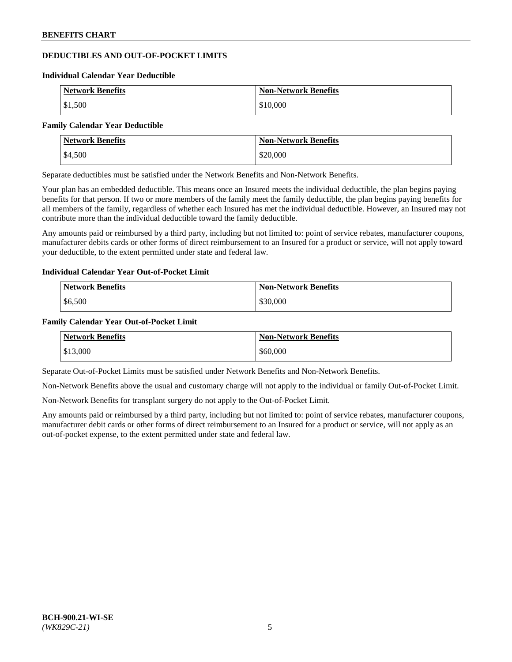# **DEDUCTIBLES AND OUT-OF-POCKET LIMITS**

#### **Individual Calendar Year Deductible**

| <b>Network Benefits</b> | <b>Non-Network Benefits</b> |
|-------------------------|-----------------------------|
| \$1,500                 | \$10,000                    |

#### **Family Calendar Year Deductible**

| <b>Network Benefits</b> | <b>Non-Network Benefits</b> |
|-------------------------|-----------------------------|
| \$4,500                 | \$20,000                    |

Separate deductibles must be satisfied under the Network Benefits and Non-Network Benefits.

Your plan has an embedded deductible. This means once an Insured meets the individual deductible, the plan begins paying benefits for that person. If two or more members of the family meet the family deductible, the plan begins paying benefits for all members of the family, regardless of whether each Insured has met the individual deductible. However, an Insured may not contribute more than the individual deductible toward the family deductible.

Any amounts paid or reimbursed by a third party, including but not limited to: point of service rebates, manufacturer coupons, manufacturer debits cards or other forms of direct reimbursement to an Insured for a product or service, will not apply toward your deductible, to the extent permitted under state and federal law.

## **Individual Calendar Year Out-of-Pocket Limit**

| <b>Network Benefits</b> | <b>Non-Network Benefits</b> |
|-------------------------|-----------------------------|
| \$6,500                 | \$30,000                    |

### **Family Calendar Year Out-of-Pocket Limit**

| <b>Network Benefits</b> | <b>Non-Network Benefits</b> |
|-------------------------|-----------------------------|
| \$13,000                | \$60,000                    |

Separate Out-of-Pocket Limits must be satisfied under Network Benefits and Non-Network Benefits.

Non-Network Benefits above the usual and customary charge will not apply to the individual or family Out-of-Pocket Limit.

Non-Network Benefits for transplant surgery do not apply to the Out-of-Pocket Limit.

Any amounts paid or reimbursed by a third party, including but not limited to: point of service rebates, manufacturer coupons, manufacturer debit cards or other forms of direct reimbursement to an Insured for a product or service, will not apply as an out-of-pocket expense, to the extent permitted under state and federal law.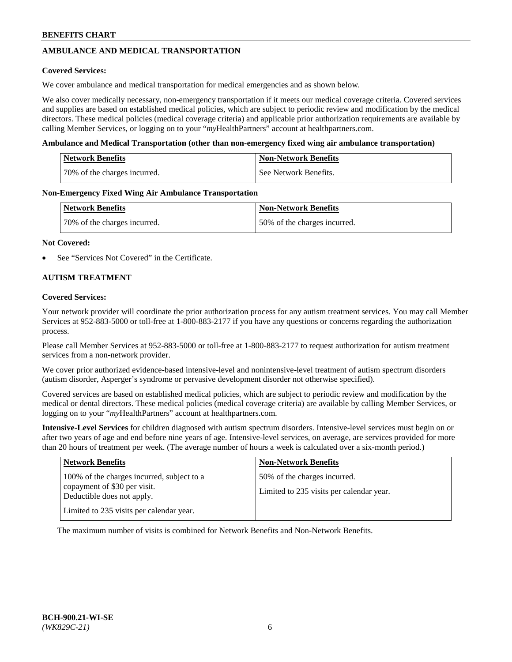# **AMBULANCE AND MEDICAL TRANSPORTATION**

## **Covered Services:**

We cover ambulance and medical transportation for medical emergencies and as shown below.

We also cover medically necessary, non-emergency transportation if it meets our medical coverage criteria. Covered services and supplies are based on established medical policies, which are subject to periodic review and modification by the medical directors. These medical policies (medical coverage criteria) and applicable prior authorization requirements are available by calling Member Services, or logging on to your "*my*HealthPartners" account a[t healthpartners.com.](https://www.healthpartners.com/hp/index.html)

### **Ambulance and Medical Transportation (other than non-emergency fixed wing air ambulance transportation)**

| <b>Network Benefits</b>      | <b>Non-Network Benefits</b> |
|------------------------------|-----------------------------|
| 70% of the charges incurred. | l See Network Benefits.     |

### **Non-Emergency Fixed Wing Air Ambulance Transportation**

| <b>Network Benefits</b>      | <b>Non-Network Benefits</b>  |
|------------------------------|------------------------------|
| 70% of the charges incurred. | 50% of the charges incurred. |

### **Not Covered:**

See "Services Not Covered" in the Certificate.

## **AUTISM TREATMENT**

### **Covered Services:**

Your network provider will coordinate the prior authorization process for any autism treatment services. You may call Member Services at 952-883-5000 or toll-free at 1-800-883-2177 if you have any questions or concerns regarding the authorization process.

Please call Member Services at 952-883-5000 or toll-free at 1-800-883-2177 to request authorization for autism treatment services from a non-network provider.

We cover prior authorized evidence-based intensive-level and nonintensive-level treatment of autism spectrum disorders (autism disorder, Asperger's syndrome or pervasive development disorder not otherwise specified).

Covered services are based on established medical policies, which are subject to periodic review and modification by the medical or dental directors. These medical policies (medical coverage criteria) are available by calling Member Services, or logging on to your "*my*HealthPartners" account at [healthpartners.com.](https://www.healthpartners.com/hp/index.html)

**Intensive-Level Services** for children diagnosed with autism spectrum disorders. Intensive-level services must begin on or after two years of age and end before nine years of age. Intensive-level services, on average, are services provided for more than 20 hours of treatment per week. (The average number of hours a week is calculated over a six-month period.)

| <b>Network Benefits</b>                                                                                                                              | <b>Non-Network Benefits</b>                                              |
|------------------------------------------------------------------------------------------------------------------------------------------------------|--------------------------------------------------------------------------|
| 100% of the charges incurred, subject to a<br>copayment of \$30 per visit.<br>Deductible does not apply.<br>Limited to 235 visits per calendar year. | 50% of the charges incurred.<br>Limited to 235 visits per calendar year. |

The maximum number of visits is combined for Network Benefits and Non-Network Benefits.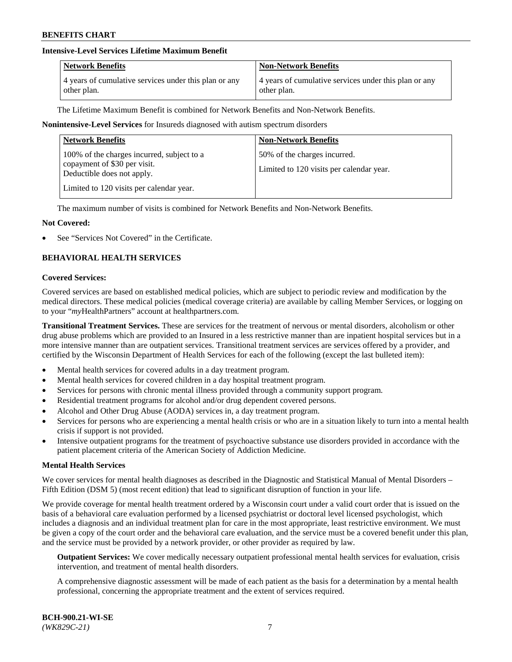## **Intensive-Level Services Lifetime Maximum Benefit**

| <b>Network Benefits</b>                               | <b>Non-Network Benefits</b>                           |
|-------------------------------------------------------|-------------------------------------------------------|
| 4 years of cumulative services under this plan or any | 4 years of cumulative services under this plan or any |
| other plan.                                           | other plan.                                           |

The Lifetime Maximum Benefit is combined for Network Benefits and Non-Network Benefits.

### **Nonintensive-Level Services** for Insureds diagnosed with autism spectrum disorders

| <b>Network Benefits</b>                                                                                                                              | <b>Non-Network Benefits</b>                                              |
|------------------------------------------------------------------------------------------------------------------------------------------------------|--------------------------------------------------------------------------|
| 100% of the charges incurred, subject to a<br>copayment of \$30 per visit.<br>Deductible does not apply.<br>Limited to 120 visits per calendar year. | 50% of the charges incurred.<br>Limited to 120 visits per calendar year. |

The maximum number of visits is combined for Network Benefits and Non-Network Benefits.

### **Not Covered:**

See "Services Not Covered" in the Certificate.

## **BEHAVIORAL HEALTH SERVICES**

#### **Covered Services:**

Covered services are based on established medical policies, which are subject to periodic review and modification by the medical directors. These medical policies (medical coverage criteria) are available by calling Member Services, or logging on to your "*my*HealthPartners" account at [healthpartners.com.](https://www.healthpartners.com/hp/index.html)

**Transitional Treatment Services.** These are services for the treatment of nervous or mental disorders, alcoholism or other drug abuse problems which are provided to an Insured in a less restrictive manner than are inpatient hospital services but in a more intensive manner than are outpatient services. Transitional treatment services are services offered by a provider, and certified by the Wisconsin Department of Health Services for each of the following (except the last bulleted item):

- Mental health services for covered adults in a day treatment program.
- Mental health services for covered children in a day hospital treatment program.
- Services for persons with chronic mental illness provided through a community support program.
- Residential treatment programs for alcohol and/or drug dependent covered persons.
- Alcohol and Other Drug Abuse (AODA) services in, a day treatment program.
- Services for persons who are experiencing a mental health crisis or who are in a situation likely to turn into a mental health crisis if support is not provided.
- Intensive outpatient programs for the treatment of psychoactive substance use disorders provided in accordance with the patient placement criteria of the American Society of Addiction Medicine.

#### **Mental Health Services**

We cover services for mental health diagnoses as described in the Diagnostic and Statistical Manual of Mental Disorders – Fifth Edition (DSM 5) (most recent edition) that lead to significant disruption of function in your life.

We provide coverage for mental health treatment ordered by a Wisconsin court under a valid court order that is issued on the basis of a behavioral care evaluation performed by a licensed psychiatrist or doctoral level licensed psychologist, which includes a diagnosis and an individual treatment plan for care in the most appropriate, least restrictive environment. We must be given a copy of the court order and the behavioral care evaluation, and the service must be a covered benefit under this plan, and the service must be provided by a network provider, or other provider as required by law.

**Outpatient Services:** We cover medically necessary outpatient professional mental health services for evaluation, crisis intervention, and treatment of mental health disorders.

A comprehensive diagnostic assessment will be made of each patient as the basis for a determination by a mental health professional, concerning the appropriate treatment and the extent of services required.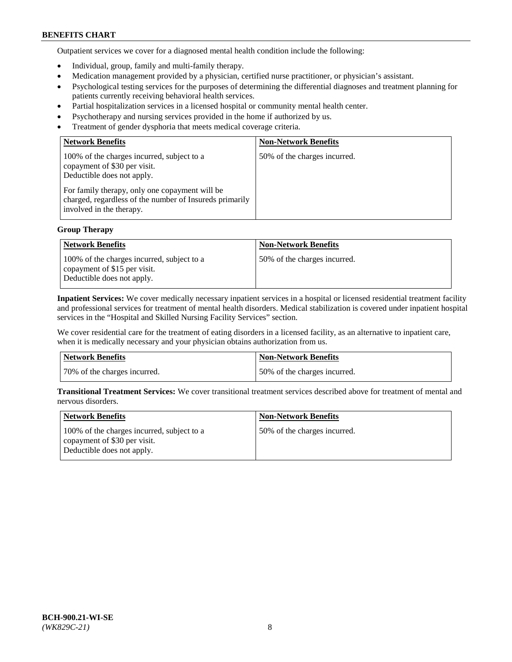Outpatient services we cover for a diagnosed mental health condition include the following:

- Individual, group, family and multi-family therapy.
- Medication management provided by a physician, certified nurse practitioner, or physician's assistant.
- Psychological testing services for the purposes of determining the differential diagnoses and treatment planning for patients currently receiving behavioral health services.
- Partial hospitalization services in a licensed hospital or community mental health center.
- Psychotherapy and nursing services provided in the home if authorized by us.
- Treatment of gender dysphoria that meets medical coverage criteria.

| <b>Network Benefits</b>                                                                                                                                                                                                                           | <b>Non-Network Benefits</b>  |
|---------------------------------------------------------------------------------------------------------------------------------------------------------------------------------------------------------------------------------------------------|------------------------------|
| 100% of the charges incurred, subject to a<br>copayment of \$30 per visit.<br>Deductible does not apply.<br>For family therapy, only one copayment will be<br>charged, regardless of the number of Insureds primarily<br>involved in the therapy. | 50% of the charges incurred. |

## **Group Therapy**

| Network Benefits                                                                                         | <b>Non-Network Benefits</b>  |
|----------------------------------------------------------------------------------------------------------|------------------------------|
| 100% of the charges incurred, subject to a<br>copayment of \$15 per visit.<br>Deductible does not apply. | 50% of the charges incurred. |

**Inpatient Services:** We cover medically necessary inpatient services in a hospital or licensed residential treatment facility and professional services for treatment of mental health disorders. Medical stabilization is covered under inpatient hospital services in the "Hospital and Skilled Nursing Facility Services" section.

We cover residential care for the treatment of eating disorders in a licensed facility, as an alternative to inpatient care, when it is medically necessary and your physician obtains authorization from us.

| Network Benefits             | <b>Non-Network Benefits</b>  |
|------------------------------|------------------------------|
| 70% of the charges incurred. | 50% of the charges incurred. |

**Transitional Treatment Services:** We cover transitional treatment services described above for treatment of mental and nervous disorders.

| <b>Network Benefits</b>                                                                                  | <b>Non-Network Benefits</b>  |
|----------------------------------------------------------------------------------------------------------|------------------------------|
| 100% of the charges incurred, subject to a<br>copayment of \$30 per visit.<br>Deductible does not apply. | 50% of the charges incurred. |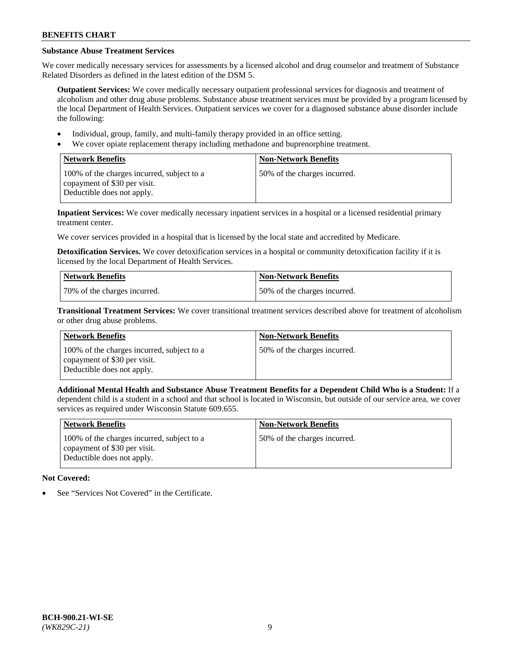# **Substance Abuse Treatment Services**

We cover medically necessary services for assessments by a licensed alcohol and drug counselor and treatment of Substance Related Disorders as defined in the latest edition of the DSM 5.

**Outpatient Services:** We cover medically necessary outpatient professional services for diagnosis and treatment of alcoholism and other drug abuse problems. Substance abuse treatment services must be provided by a program licensed by the local Department of Health Services. Outpatient services we cover for a diagnosed substance abuse disorder include the following:

- Individual, group, family, and multi-family therapy provided in an office setting.
- We cover opiate replacement therapy including methadone and buprenorphine treatment.

| <b>Network Benefits</b>                                                                                  | <b>Non-Network Benefits</b>  |
|----------------------------------------------------------------------------------------------------------|------------------------------|
| 100% of the charges incurred, subject to a<br>copayment of \$30 per visit.<br>Deductible does not apply. | 50% of the charges incurred. |

**Inpatient Services:** We cover medically necessary inpatient services in a hospital or a licensed residential primary treatment center.

We cover services provided in a hospital that is licensed by the local state and accredited by Medicare.

**Detoxification Services.** We cover detoxification services in a hospital or community detoxification facility if it is licensed by the local Department of Health Services.

| Network Benefits             | <b>Non-Network Benefits</b>  |
|------------------------------|------------------------------|
| 70% of the charges incurred. | 50% of the charges incurred. |

**Transitional Treatment Services:** We cover transitional treatment services described above for treatment of alcoholism or other drug abuse problems.

| Network Benefits                                                                                         | <b>Non-Network Benefits</b>  |
|----------------------------------------------------------------------------------------------------------|------------------------------|
| 100% of the charges incurred, subject to a<br>copayment of \$30 per visit.<br>Deductible does not apply. | 50% of the charges incurred. |

**Additional Mental Health and Substance Abuse Treatment Benefits for a Dependent Child Who is a Student:** If a dependent child is a student in a school and that school is located in Wisconsin, but outside of our service area, we cover services as required under Wisconsin Statute 609.655.

| <b>Network Benefits</b>                                                                                  | <b>Non-Network Benefits</b>  |
|----------------------------------------------------------------------------------------------------------|------------------------------|
| 100% of the charges incurred, subject to a<br>copayment of \$30 per visit.<br>Deductible does not apply. | 50% of the charges incurred. |

# **Not Covered:**

See "Services Not Covered" in the Certificate.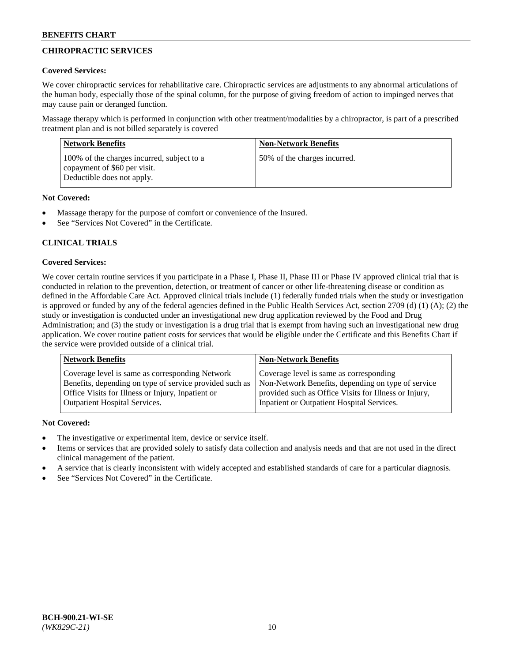# **CHIROPRACTIC SERVICES**

## **Covered Services:**

We cover chiropractic services for rehabilitative care. Chiropractic services are adjustments to any abnormal articulations of the human body, especially those of the spinal column, for the purpose of giving freedom of action to impinged nerves that may cause pain or deranged function.

Massage therapy which is performed in conjunction with other treatment/modalities by a chiropractor, is part of a prescribed treatment plan and is not billed separately is covered

| <b>Network Benefits</b>                                                                                  | <b>Non-Network Benefits</b>  |
|----------------------------------------------------------------------------------------------------------|------------------------------|
| 100% of the charges incurred, subject to a<br>copayment of \$60 per visit.<br>Deductible does not apply. | 50% of the charges incurred. |

## **Not Covered:**

- Massage therapy for the purpose of comfort or convenience of the Insured.
- See "Services Not Covered" in the Certificate.

# **CLINICAL TRIALS**

## **Covered Services:**

We cover certain routine services if you participate in a Phase I, Phase II, Phase III or Phase IV approved clinical trial that is conducted in relation to the prevention, detection, or treatment of cancer or other life-threatening disease or condition as defined in the Affordable Care Act. Approved clinical trials include (1) federally funded trials when the study or investigation is approved or funded by any of the federal agencies defined in the Public Health Services Act, section 2709 (d) (1) (A); (2) the study or investigation is conducted under an investigational new drug application reviewed by the Food and Drug Administration; and (3) the study or investigation is a drug trial that is exempt from having such an investigational new drug application. We cover routine patient costs for services that would be eligible under the Certificate and this Benefits Chart if the service were provided outside of a clinical trial.

| <b>Network Benefits</b>                                 | <b>Non-Network Benefits</b>                           |
|---------------------------------------------------------|-------------------------------------------------------|
| Coverage level is same as corresponding Network         | Coverage level is same as corresponding               |
| Benefits, depending on type of service provided such as | Non-Network Benefits, depending on type of service    |
| Office Visits for Illness or Injury, Inpatient or       | provided such as Office Visits for Illness or Injury, |
| <b>Outpatient Hospital Services.</b>                    | Inpatient or Outpatient Hospital Services.            |

# **Not Covered:**

- The investigative or experimental item, device or service itself.
- Items or services that are provided solely to satisfy data collection and analysis needs and that are not used in the direct clinical management of the patient.
- A service that is clearly inconsistent with widely accepted and established standards of care for a particular diagnosis.
- See "Services Not Covered" in the Certificate.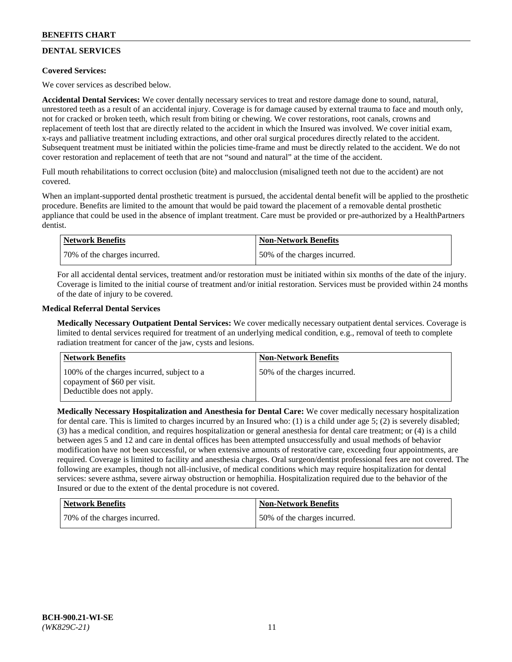# **DENTAL SERVICES**

## **Covered Services:**

We cover services as described below.

**Accidental Dental Services:** We cover dentally necessary services to treat and restore damage done to sound, natural, unrestored teeth as a result of an accidental injury. Coverage is for damage caused by external trauma to face and mouth only, not for cracked or broken teeth, which result from biting or chewing. We cover restorations, root canals, crowns and replacement of teeth lost that are directly related to the accident in which the Insured was involved. We cover initial exam, x-rays and palliative treatment including extractions, and other oral surgical procedures directly related to the accident. Subsequent treatment must be initiated within the policies time-frame and must be directly related to the accident. We do not cover restoration and replacement of teeth that are not "sound and natural" at the time of the accident.

Full mouth rehabilitations to correct occlusion (bite) and malocclusion (misaligned teeth not due to the accident) are not covered.

When an implant-supported dental prosthetic treatment is pursued, the accidental dental benefit will be applied to the prosthetic procedure. Benefits are limited to the amount that would be paid toward the placement of a removable dental prosthetic appliance that could be used in the absence of implant treatment. Care must be provided or pre-authorized by a HealthPartners dentist.

| Network Benefits             | <b>Non-Network Benefits</b>  |
|------------------------------|------------------------------|
| 70% of the charges incurred. | 50% of the charges incurred. |

For all accidental dental services, treatment and/or restoration must be initiated within six months of the date of the injury. Coverage is limited to the initial course of treatment and/or initial restoration. Services must be provided within 24 months of the date of injury to be covered.

## **Medical Referral Dental Services**

**Medically Necessary Outpatient Dental Services:** We cover medically necessary outpatient dental services. Coverage is limited to dental services required for treatment of an underlying medical condition, e.g., removal of teeth to complete radiation treatment for cancer of the jaw, cysts and lesions.

| <b>Network Benefits</b>                                                                                  | <b>Non-Network Benefits</b>  |
|----------------------------------------------------------------------------------------------------------|------------------------------|
| 100% of the charges incurred, subject to a<br>copayment of \$60 per visit.<br>Deductible does not apply. | 50% of the charges incurred. |

**Medically Necessary Hospitalization and Anesthesia for Dental Care:** We cover medically necessary hospitalization for dental care. This is limited to charges incurred by an Insured who: (1) is a child under age 5; (2) is severely disabled; (3) has a medical condition, and requires hospitalization or general anesthesia for dental care treatment; or (4) is a child between ages 5 and 12 and care in dental offices has been attempted unsuccessfully and usual methods of behavior modification have not been successful, or when extensive amounts of restorative care, exceeding four appointments, are required. Coverage is limited to facility and anesthesia charges. Oral surgeon/dentist professional fees are not covered. The following are examples, though not all-inclusive, of medical conditions which may require hospitalization for dental services: severe asthma, severe airway obstruction or hemophilia. Hospitalization required due to the behavior of the Insured or due to the extent of the dental procedure is not covered.

| <b>Network Benefits</b>      | <b>Non-Network Benefits</b>  |
|------------------------------|------------------------------|
| 70% of the charges incurred. | 50% of the charges incurred. |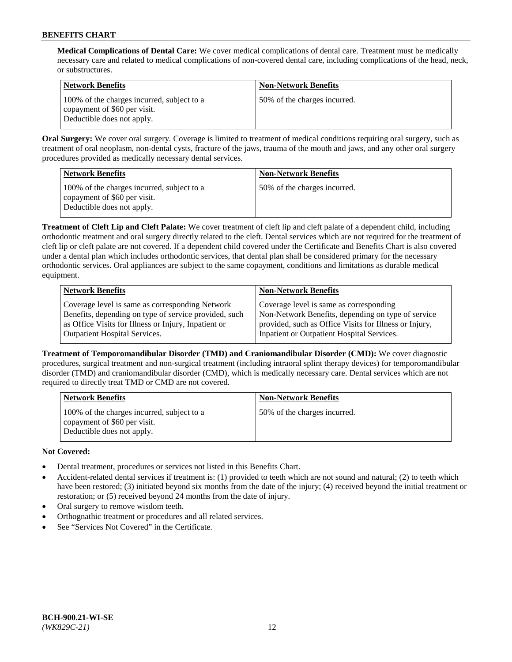**Medical Complications of Dental Care:** We cover medical complications of dental care. Treatment must be medically necessary care and related to medical complications of non-covered dental care, including complications of the head, neck, or substructures.

| <b>Network Benefits</b>                                                                                  | <b>Non-Network Benefits</b>  |
|----------------------------------------------------------------------------------------------------------|------------------------------|
| 100% of the charges incurred, subject to a<br>copayment of \$60 per visit.<br>Deductible does not apply. | 50% of the charges incurred. |

**Oral Surgery:** We cover oral surgery. Coverage is limited to treatment of medical conditions requiring oral surgery, such as treatment of oral neoplasm, non-dental cysts, fracture of the jaws, trauma of the mouth and jaws, and any other oral surgery procedures provided as medically necessary dental services.

| <b>Network Benefits</b>                                                                                  | <b>Non-Network Benefits</b>  |
|----------------------------------------------------------------------------------------------------------|------------------------------|
| 100% of the charges incurred, subject to a<br>copayment of \$60 per visit.<br>Deductible does not apply. | 50% of the charges incurred. |

**Treatment of Cleft Lip and Cleft Palate:** We cover treatment of cleft lip and cleft palate of a dependent child, including orthodontic treatment and oral surgery directly related to the cleft. Dental services which are not required for the treatment of cleft lip or cleft palate are not covered. If a dependent child covered under the Certificate and Benefits Chart is also covered under a dental plan which includes orthodontic services, that dental plan shall be considered primary for the necessary orthodontic services. Oral appliances are subject to the same copayment, conditions and limitations as durable medical equipment.

| <b>Network Benefits</b>                               | <b>Non-Network Benefits</b>                            |
|-------------------------------------------------------|--------------------------------------------------------|
| Coverage level is same as corresponding Network       | Coverage level is same as corresponding                |
| Benefits, depending on type of service provided, such | Non-Network Benefits, depending on type of service     |
| as Office Visits for Illness or Injury, Inpatient or  | provided, such as Office Visits for Illness or Injury, |
| Outpatient Hospital Services.                         | Inpatient or Outpatient Hospital Services.             |

**Treatment of Temporomandibular Disorder (TMD) and Craniomandibular Disorder (CMD):** We cover diagnostic procedures, surgical treatment and non-surgical treatment (including intraoral splint therapy devices) for temporomandibular disorder (TMD) and craniomandibular disorder (CMD), which is medically necessary care. Dental services which are not required to directly treat TMD or CMD are not covered.

| <b>Network Benefits</b>                                                                                  | <b>Non-Network Benefits</b>  |
|----------------------------------------------------------------------------------------------------------|------------------------------|
| 100% of the charges incurred, subject to a<br>copayment of \$60 per visit.<br>Deductible does not apply. | 50% of the charges incurred. |

# **Not Covered:**

- Dental treatment, procedures or services not listed in this Benefits Chart.
- Accident-related dental services if treatment is: (1) provided to teeth which are not sound and natural; (2) to teeth which have been restored; (3) initiated beyond six months from the date of the injury; (4) received beyond the initial treatment or restoration; or (5) received beyond 24 months from the date of injury.
- Oral surgery to remove wisdom teeth.
- Orthognathic treatment or procedures and all related services.
- See "Services Not Covered" in the Certificate.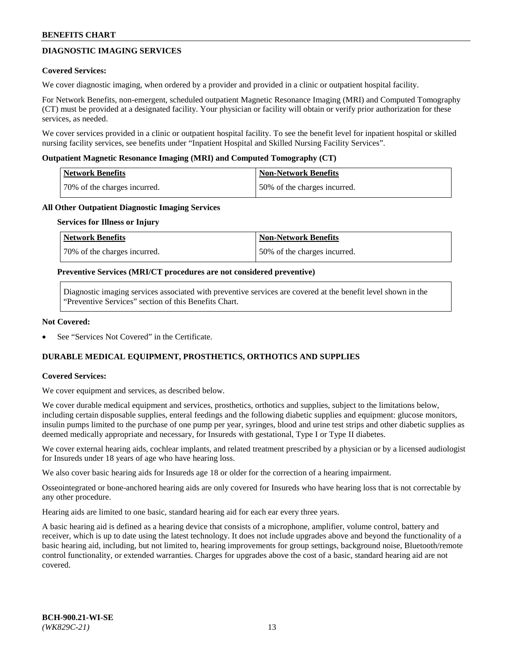# **DIAGNOSTIC IMAGING SERVICES**

### **Covered Services:**

We cover diagnostic imaging, when ordered by a provider and provided in a clinic or outpatient hospital facility.

For Network Benefits, non-emergent, scheduled outpatient Magnetic Resonance Imaging (MRI) and Computed Tomography (CT) must be provided at a designated facility. Your physician or facility will obtain or verify prior authorization for these services, as needed.

We cover services provided in a clinic or outpatient hospital facility. To see the benefit level for inpatient hospital or skilled nursing facility services, see benefits under "Inpatient Hospital and Skilled Nursing Facility Services".

### **Outpatient Magnetic Resonance Imaging (MRI) and Computed Tomography (CT)**

| <b>Network Benefits</b>      | <b>Non-Network Benefits</b>  |
|------------------------------|------------------------------|
| 70% of the charges incurred. | 50% of the charges incurred. |

### **All Other Outpatient Diagnostic Imaging Services**

#### **Services for Illness or Injury**

| Network Benefits             | <b>Non-Network Benefits</b>  |
|------------------------------|------------------------------|
| 70% of the charges incurred. | 50% of the charges incurred. |

### **Preventive Services (MRI/CT procedures are not considered preventive)**

Diagnostic imaging services associated with preventive services are covered at the benefit level shown in the "Preventive Services" section of this Benefits Chart.

### **Not Covered:**

See "Services Not Covered" in the Certificate.

# **DURABLE MEDICAL EQUIPMENT, PROSTHETICS, ORTHOTICS AND SUPPLIES**

#### **Covered Services:**

We cover equipment and services, as described below.

We cover durable medical equipment and services, prosthetics, orthotics and supplies, subject to the limitations below, including certain disposable supplies, enteral feedings and the following diabetic supplies and equipment: glucose monitors, insulin pumps limited to the purchase of one pump per year, syringes, blood and urine test strips and other diabetic supplies as deemed medically appropriate and necessary, for Insureds with gestational, Type I or Type II diabetes.

We cover external hearing aids, cochlear implants, and related treatment prescribed by a physician or by a licensed audiologist for Insureds under 18 years of age who have hearing loss.

We also cover basic hearing aids for Insureds age 18 or older for the correction of a hearing impairment.

Osseointegrated or bone-anchored hearing aids are only covered for Insureds who have hearing loss that is not correctable by any other procedure.

Hearing aids are limited to one basic, standard hearing aid for each ear every three years.

A basic hearing aid is defined as a hearing device that consists of a microphone, amplifier, volume control, battery and receiver, which is up to date using the latest technology. It does not include upgrades above and beyond the functionality of a basic hearing aid, including, but not limited to, hearing improvements for group settings, background noise, Bluetooth/remote control functionality, or extended warranties. Charges for upgrades above the cost of a basic, standard hearing aid are not covered.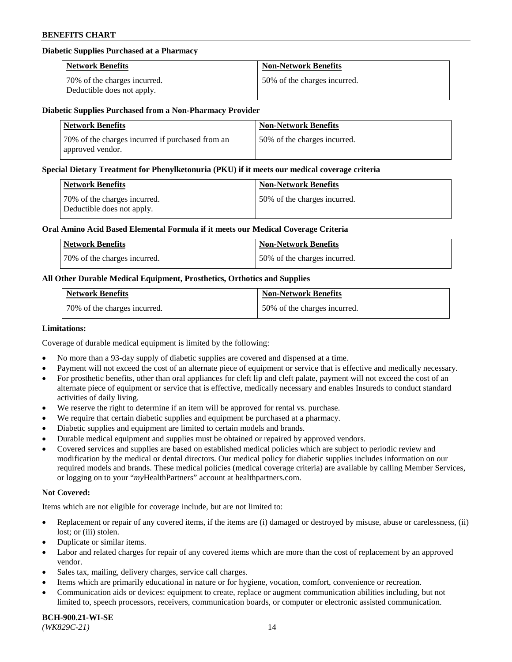## **Diabetic Supplies Purchased at a Pharmacy**

| <b>Network Benefits</b>                                    | <b>Non-Network Benefits</b>  |
|------------------------------------------------------------|------------------------------|
| 70% of the charges incurred.<br>Deductible does not apply. | 50% of the charges incurred. |

#### **Diabetic Supplies Purchased from a Non-Pharmacy Provider**

| <b>Network Benefits</b>                                              | <b>Non-Network Benefits</b>  |
|----------------------------------------------------------------------|------------------------------|
| 70% of the charges incurred if purchased from an<br>approved vendor. | 50% of the charges incurred. |

#### **Special Dietary Treatment for Phenylketonuria (PKU) if it meets our medical coverage criteria**

| Network Benefits                                           | <b>Non-Network Benefits</b>  |
|------------------------------------------------------------|------------------------------|
| 70% of the charges incurred.<br>Deductible does not apply. | 50% of the charges incurred. |

### **Oral Amino Acid Based Elemental Formula if it meets our Medical Coverage Criteria**

| Network Benefits             | <b>Non-Network Benefits</b>  |
|------------------------------|------------------------------|
| 70% of the charges incurred. | 50% of the charges incurred. |

## **All Other Durable Medical Equipment, Prosthetics, Orthotics and Supplies**

| <b>Network Benefits</b>      | <b>Non-Network Benefits</b>  |
|------------------------------|------------------------------|
| 70% of the charges incurred. | 50% of the charges incurred. |

#### **Limitations:**

Coverage of durable medical equipment is limited by the following:

- No more than a 93-day supply of diabetic supplies are covered and dispensed at a time.
- Payment will not exceed the cost of an alternate piece of equipment or service that is effective and medically necessary.
- For prosthetic benefits, other than oral appliances for cleft lip and cleft palate, payment will not exceed the cost of an alternate piece of equipment or service that is effective, medically necessary and enables Insureds to conduct standard
- activities of daily living. We reserve the right to determine if an item will be approved for rental vs. purchase.
- We require that certain diabetic supplies and equipment be purchased at a pharmacy.
- Diabetic supplies and equipment are limited to certain models and brands.
- Durable medical equipment and supplies must be obtained or repaired by approved vendors.
- Covered services and supplies are based on established medical policies which are subject to periodic review and modification by the medical or dental directors. Our medical policy for diabetic supplies includes information on our required models and brands. These medical policies (medical coverage criteria) are available by calling Member Services, or logging on to your "*my*HealthPartners" account a[t healthpartners.com.](https://www.healthpartners.com/hp/index.html)

## **Not Covered:**

Items which are not eligible for coverage include, but are not limited to:

- Replacement or repair of any covered items, if the items are (i) damaged or destroyed by misuse, abuse or carelessness, (ii) lost; or (iii) stolen.
- Duplicate or similar items.
- Labor and related charges for repair of any covered items which are more than the cost of replacement by an approved vendor.
- Sales tax, mailing, delivery charges, service call charges.
- Items which are primarily educational in nature or for hygiene, vocation, comfort, convenience or recreation.
- Communication aids or devices: equipment to create, replace or augment communication abilities including, but not limited to, speech processors, receivers, communication boards, or computer or electronic assisted communication.

#### **BCH-900.21-WI-SE**  *(WK829C-21)* 14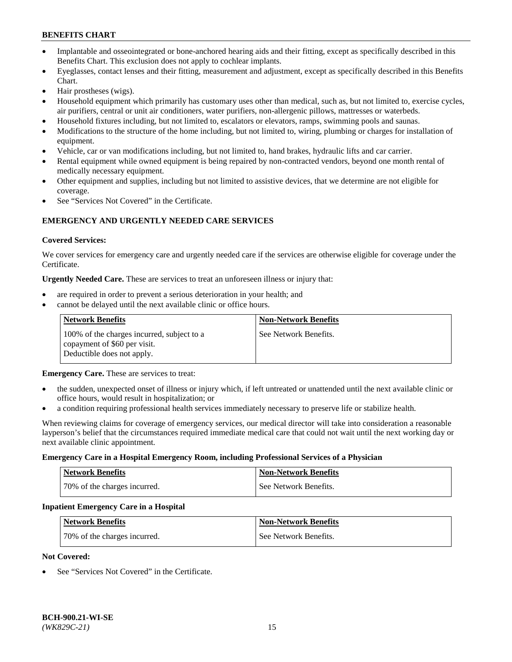- Implantable and osseointegrated or bone-anchored hearing aids and their fitting, except as specifically described in this Benefits Chart. This exclusion does not apply to cochlear implants.
- Eyeglasses, contact lenses and their fitting, measurement and adjustment, except as specifically described in this Benefits Chart.
- Hair prostheses (wigs).
- Household equipment which primarily has customary uses other than medical, such as, but not limited to, exercise cycles, air purifiers, central or unit air conditioners, water purifiers, non-allergenic pillows, mattresses or waterbeds.
- Household fixtures including, but not limited to, escalators or elevators, ramps, swimming pools and saunas.
- Modifications to the structure of the home including, but not limited to, wiring, plumbing or charges for installation of equipment.
- Vehicle, car or van modifications including, but not limited to, hand brakes, hydraulic lifts and car carrier.
- Rental equipment while owned equipment is being repaired by non-contracted vendors, beyond one month rental of medically necessary equipment.
- Other equipment and supplies, including but not limited to assistive devices, that we determine are not eligible for coverage.
- See "Services Not Covered" in the Certificate.

## **EMERGENCY AND URGENTLY NEEDED CARE SERVICES**

### **Covered Services:**

We cover services for emergency care and urgently needed care if the services are otherwise eligible for coverage under the Certificate.

**Urgently Needed Care.** These are services to treat an unforeseen illness or injury that:

- are required in order to prevent a serious deterioration in your health; and
- cannot be delayed until the next available clinic or office hours.

| <b>Network Benefits</b>                                                                                  | <b>Non-Network Benefits</b> |
|----------------------------------------------------------------------------------------------------------|-----------------------------|
| 100% of the charges incurred, subject to a<br>copayment of \$60 per visit.<br>Deductible does not apply. | See Network Benefits.       |

**Emergency Care.** These are services to treat:

- the sudden, unexpected onset of illness or injury which, if left untreated or unattended until the next available clinic or office hours, would result in hospitalization; or
- a condition requiring professional health services immediately necessary to preserve life or stabilize health.

When reviewing claims for coverage of emergency services, our medical director will take into consideration a reasonable layperson's belief that the circumstances required immediate medical care that could not wait until the next working day or next available clinic appointment.

#### **Emergency Care in a Hospital Emergency Room, including Professional Services of a Physician**

| <b>Network Benefits</b>      | <b>Non-Network Benefits</b> |
|------------------------------|-----------------------------|
| 70% of the charges incurred. | See Network Benefits.       |

#### **Inpatient Emergency Care in a Hospital**

| <b>Network Benefits</b>      | <b>Non-Network Benefits</b> |
|------------------------------|-----------------------------|
| 70% of the charges incurred. | See Network Benefits.       |

#### **Not Covered:**

See "Services Not Covered" in the Certificate.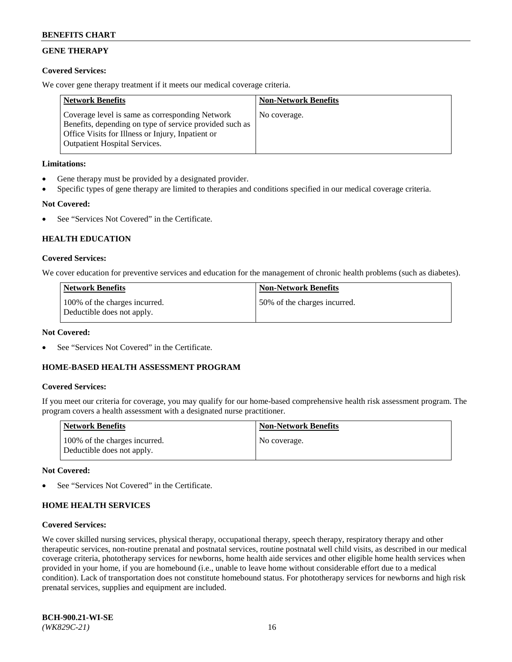# **GENE THERAPY**

## **Covered Services:**

We cover gene therapy treatment if it meets our medical coverage criteria.

| <b>Network Benefits</b>                                                                                                                                                                                 | <b>Non-Network Benefits</b> |
|---------------------------------------------------------------------------------------------------------------------------------------------------------------------------------------------------------|-----------------------------|
| Coverage level is same as corresponding Network<br>Benefits, depending on type of service provided such as<br>Office Visits for Illness or Injury, Inpatient or<br><b>Outpatient Hospital Services.</b> | No coverage.                |

## **Limitations:**

- Gene therapy must be provided by a designated provider.
- Specific types of gene therapy are limited to therapies and conditions specified in our medical coverage criteria.

# **Not Covered:**

See "Services Not Covered" in the Certificate.

# **HEALTH EDUCATION**

## **Covered Services:**

We cover education for preventive services and education for the management of chronic health problems (such as diabetes).

| <b>Network Benefits</b>                                     | <b>Non-Network Benefits</b>  |
|-------------------------------------------------------------|------------------------------|
| 100% of the charges incurred.<br>Deductible does not apply. | 50% of the charges incurred. |

## **Not Covered:**

See "Services Not Covered" in the Certificate.

## **HOME-BASED HEALTH ASSESSMENT PROGRAM**

## **Covered Services:**

If you meet our criteria for coverage, you may qualify for our home-based comprehensive health risk assessment program. The program covers a health assessment with a designated nurse practitioner.

| <b>Network Benefits</b>                                     | <b>Non-Network Benefits</b> |
|-------------------------------------------------------------|-----------------------------|
| 100% of the charges incurred.<br>Deductible does not apply. | No coverage.                |

## **Not Covered:**

See "Services Not Covered" in the Certificate.

## **HOME HEALTH SERVICES**

#### **Covered Services:**

We cover skilled nursing services, physical therapy, occupational therapy, speech therapy, respiratory therapy and other therapeutic services, non-routine prenatal and postnatal services, routine postnatal well child visits, as described in our medical coverage criteria, phototherapy services for newborns, home health aide services and other eligible home health services when provided in your home, if you are homebound (i.e., unable to leave home without considerable effort due to a medical condition). Lack of transportation does not constitute homebound status. For phototherapy services for newborns and high risk prenatal services, supplies and equipment are included.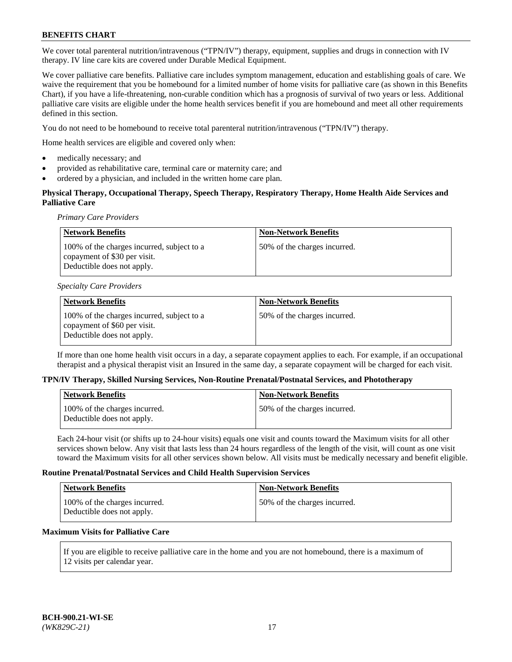We cover total parenteral nutrition/intravenous ("TPN/IV") therapy, equipment, supplies and drugs in connection with IV therapy. IV line care kits are covered under Durable Medical Equipment.

We cover palliative care benefits. Palliative care includes symptom management, education and establishing goals of care. We waive the requirement that you be homebound for a limited number of home visits for palliative care (as shown in this Benefits Chart), if you have a life-threatening, non-curable condition which has a prognosis of survival of two years or less. Additional palliative care visits are eligible under the home health services benefit if you are homebound and meet all other requirements defined in this section.

You do not need to be homebound to receive total parenteral nutrition/intravenous ("TPN/IV") therapy.

Home health services are eligible and covered only when:

- medically necessary; and
- provided as rehabilitative care, terminal care or maternity care; and
- ordered by a physician, and included in the written home care plan.

## **Physical Therapy, Occupational Therapy, Speech Therapy, Respiratory Therapy, Home Health Aide Services and Palliative Care**

*Primary Care Providers*

| <b>Network Benefits</b>                                                                                  | <b>Non-Network Benefits</b>  |
|----------------------------------------------------------------------------------------------------------|------------------------------|
| 100% of the charges incurred, subject to a<br>copayment of \$30 per visit.<br>Deductible does not apply. | 50% of the charges incurred. |

#### *Specialty Care Providers*

| Network Benefits                                                                                         | <b>Non-Network Benefits</b>  |
|----------------------------------------------------------------------------------------------------------|------------------------------|
| 100% of the charges incurred, subject to a<br>copayment of \$60 per visit.<br>Deductible does not apply. | 50% of the charges incurred. |

If more than one home health visit occurs in a day, a separate copayment applies to each. For example, if an occupational therapist and a physical therapist visit an Insured in the same day, a separate copayment will be charged for each visit.

#### **TPN/IV Therapy, Skilled Nursing Services, Non-Routine Prenatal/Postnatal Services, and Phototherapy**

| <b>Network Benefits</b>                                     | <b>Non-Network Benefits</b>  |
|-------------------------------------------------------------|------------------------------|
| 100% of the charges incurred.<br>Deductible does not apply. | 50% of the charges incurred. |

Each 24-hour visit (or shifts up to 24-hour visits) equals one visit and counts toward the Maximum visits for all other services shown below. Any visit that lasts less than 24 hours regardless of the length of the visit, will count as one visit toward the Maximum visits for all other services shown below. All visits must be medically necessary and benefit eligible.

### **Routine Prenatal/Postnatal Services and Child Health Supervision Services**

| <b>Network Benefits</b>                                     | <b>Non-Network Benefits</b>  |
|-------------------------------------------------------------|------------------------------|
| 100% of the charges incurred.<br>Deductible does not apply. | 50% of the charges incurred. |

## **Maximum Visits for Palliative Care**

If you are eligible to receive palliative care in the home and you are not homebound, there is a maximum of 12 visits per calendar year.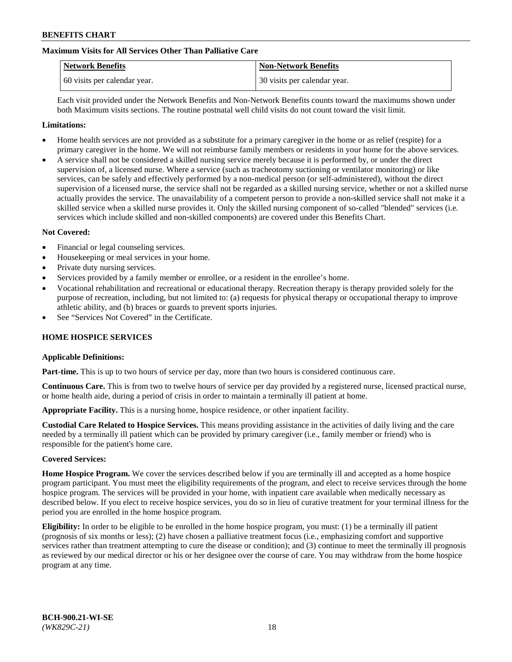## **Maximum Visits for All Services Other Than Palliative Care**

| <b>Network Benefits</b>      | <b>Non-Network Benefits</b>  |
|------------------------------|------------------------------|
| 60 visits per calendar year. | 30 visits per calendar year. |

Each visit provided under the Network Benefits and Non-Network Benefits counts toward the maximums shown under both Maximum visits sections. The routine postnatal well child visits do not count toward the visit limit.

#### **Limitations:**

- Home health services are not provided as a substitute for a primary caregiver in the home or as relief (respite) for a primary caregiver in the home. We will not reimburse family members or residents in your home for the above services.
- A service shall not be considered a skilled nursing service merely because it is performed by, or under the direct supervision of, a licensed nurse. Where a service (such as tracheotomy suctioning or ventilator monitoring) or like services, can be safely and effectively performed by a non-medical person (or self-administered), without the direct supervision of a licensed nurse, the service shall not be regarded as a skilled nursing service, whether or not a skilled nurse actually provides the service. The unavailability of a competent person to provide a non-skilled service shall not make it a skilled service when a skilled nurse provides it. Only the skilled nursing component of so-called "blended" services (i.e. services which include skilled and non-skilled components) are covered under this Benefits Chart.

#### **Not Covered:**

- Financial or legal counseling services.
- Housekeeping or meal services in your home.
- Private duty nursing services.
- Services provided by a family member or enrollee, or a resident in the enrollee's home.
- Vocational rehabilitation and recreational or educational therapy. Recreation therapy is therapy provided solely for the purpose of recreation, including, but not limited to: (a) requests for physical therapy or occupational therapy to improve athletic ability, and (b) braces or guards to prevent sports injuries.
- See "Services Not Covered" in the Certificate.

## **HOME HOSPICE SERVICES**

#### **Applicable Definitions:**

**Part-time.** This is up to two hours of service per day, more than two hours is considered continuous care.

**Continuous Care.** This is from two to twelve hours of service per day provided by a registered nurse, licensed practical nurse, or home health aide, during a period of crisis in order to maintain a terminally ill patient at home.

**Appropriate Facility.** This is a nursing home, hospice residence, or other inpatient facility.

**Custodial Care Related to Hospice Services.** This means providing assistance in the activities of daily living and the care needed by a terminally ill patient which can be provided by primary caregiver (i.e., family member or friend) who is responsible for the patient's home care.

#### **Covered Services:**

**Home Hospice Program.** We cover the services described below if you are terminally ill and accepted as a home hospice program participant. You must meet the eligibility requirements of the program, and elect to receive services through the home hospice program. The services will be provided in your home, with inpatient care available when medically necessary as described below. If you elect to receive hospice services, you do so in lieu of curative treatment for your terminal illness for the period you are enrolled in the home hospice program.

**Eligibility:** In order to be eligible to be enrolled in the home hospice program, you must: (1) be a terminally ill patient (prognosis of six months or less); (2) have chosen a palliative treatment focus (i.e., emphasizing comfort and supportive services rather than treatment attempting to cure the disease or condition); and (3) continue to meet the terminally ill prognosis as reviewed by our medical director or his or her designee over the course of care. You may withdraw from the home hospice program at any time.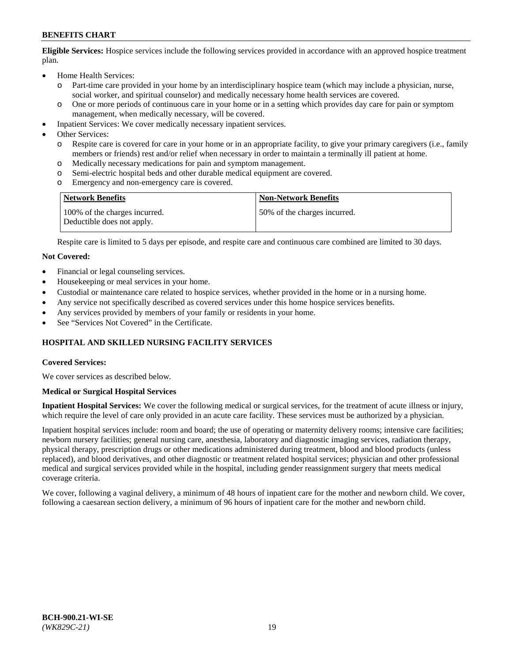**Eligible Services:** Hospice services include the following services provided in accordance with an approved hospice treatment plan.

- Home Health Services:
	- o Part-time care provided in your home by an interdisciplinary hospice team (which may include a physician, nurse, social worker, and spiritual counselor) and medically necessary home health services are covered.
	- o One or more periods of continuous care in your home or in a setting which provides day care for pain or symptom management, when medically necessary, will be covered.
- Inpatient Services: We cover medically necessary inpatient services.
- Other Services:
	- o Respite care is covered for care in your home or in an appropriate facility, to give your primary caregivers (i.e., family members or friends) rest and/or relief when necessary in order to maintain a terminally ill patient at home.
	- o Medically necessary medications for pain and symptom management.
	- Semi-electric hospital beds and other durable medical equipment are covered.
	- o Emergency and non-emergency care is covered.

| <b>Network Benefits</b>                                     | <b>Non-Network Benefits</b>  |
|-------------------------------------------------------------|------------------------------|
| 100% of the charges incurred.<br>Deductible does not apply. | 50% of the charges incurred. |

Respite care is limited to 5 days per episode, and respite care and continuous care combined are limited to 30 days.

### **Not Covered:**

- Financial or legal counseling services.
- Housekeeping or meal services in your home.
- Custodial or maintenance care related to hospice services, whether provided in the home or in a nursing home.
- Any service not specifically described as covered services under this home hospice services benefits.
- Any services provided by members of your family or residents in your home.
- See "Services Not Covered" in the Certificate.

## **HOSPITAL AND SKILLED NURSING FACILITY SERVICES**

#### **Covered Services:**

We cover services as described below.

#### **Medical or Surgical Hospital Services**

**Inpatient Hospital Services:** We cover the following medical or surgical services, for the treatment of acute illness or injury, which require the level of care only provided in an acute care facility. These services must be authorized by a physician.

Inpatient hospital services include: room and board; the use of operating or maternity delivery rooms; intensive care facilities; newborn nursery facilities; general nursing care, anesthesia, laboratory and diagnostic imaging services, radiation therapy, physical therapy, prescription drugs or other medications administered during treatment, blood and blood products (unless replaced), and blood derivatives, and other diagnostic or treatment related hospital services; physician and other professional medical and surgical services provided while in the hospital, including gender reassignment surgery that meets medical coverage criteria.

We cover, following a vaginal delivery, a minimum of 48 hours of inpatient care for the mother and newborn child. We cover, following a caesarean section delivery, a minimum of 96 hours of inpatient care for the mother and newborn child.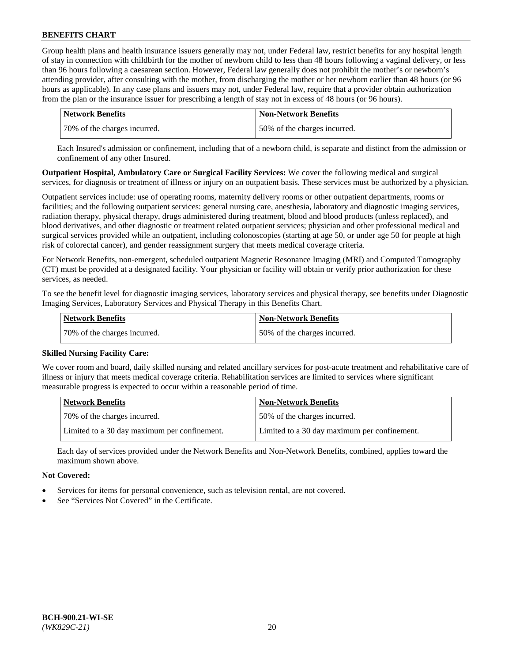Group health plans and health insurance issuers generally may not, under Federal law, restrict benefits for any hospital length of stay in connection with childbirth for the mother of newborn child to less than 48 hours following a vaginal delivery, or less than 96 hours following a caesarean section. However, Federal law generally does not prohibit the mother's or newborn's attending provider, after consulting with the mother, from discharging the mother or her newborn earlier than 48 hours (or 96 hours as applicable). In any case plans and issuers may not, under Federal law, require that a provider obtain authorization from the plan or the insurance issuer for prescribing a length of stay not in excess of 48 hours (or 96 hours).

| Network Benefits             | <b>Non-Network Benefits</b>  |
|------------------------------|------------------------------|
| 70% of the charges incurred. | 50% of the charges incurred. |

Each Insured's admission or confinement, including that of a newborn child, is separate and distinct from the admission or confinement of any other Insured.

**Outpatient Hospital, Ambulatory Care or Surgical Facility Services:** We cover the following medical and surgical services, for diagnosis or treatment of illness or injury on an outpatient basis. These services must be authorized by a physician.

Outpatient services include: use of operating rooms, maternity delivery rooms or other outpatient departments, rooms or facilities; and the following outpatient services: general nursing care, anesthesia, laboratory and diagnostic imaging services, radiation therapy, physical therapy, drugs administered during treatment, blood and blood products (unless replaced), and blood derivatives, and other diagnostic or treatment related outpatient services; physician and other professional medical and surgical services provided while an outpatient, including colonoscopies (starting at age 50, or under age 50 for people at high risk of colorectal cancer), and gender reassignment surgery that meets medical coverage criteria.

For Network Benefits, non-emergent, scheduled outpatient Magnetic Resonance Imaging (MRI) and Computed Tomography (CT) must be provided at a designated facility. Your physician or facility will obtain or verify prior authorization for these services, as needed.

To see the benefit level for diagnostic imaging services, laboratory services and physical therapy, see benefits under Diagnostic Imaging Services, Laboratory Services and Physical Therapy in this Benefits Chart.

| <b>Network Benefits</b>      | <b>Non-Network Benefits</b>  |
|------------------------------|------------------------------|
| 70% of the charges incurred. | 50% of the charges incurred. |

## **Skilled Nursing Facility Care:**

We cover room and board, daily skilled nursing and related ancillary services for post-acute treatment and rehabilitative care of illness or injury that meets medical coverage criteria. Rehabilitation services are limited to services where significant measurable progress is expected to occur within a reasonable period of time.

| <b>Network Benefits</b>                      | <b>Non-Network Benefits</b>                  |
|----------------------------------------------|----------------------------------------------|
| 70% of the charges incurred.                 | 150% of the charges incurred.                |
| Limited to a 30 day maximum per confinement. | Limited to a 30 day maximum per confinement. |

Each day of services provided under the Network Benefits and Non-Network Benefits, combined, applies toward the maximum shown above.

## **Not Covered:**

- Services for items for personal convenience, such as television rental, are not covered.
- See "Services Not Covered" in the Certificate.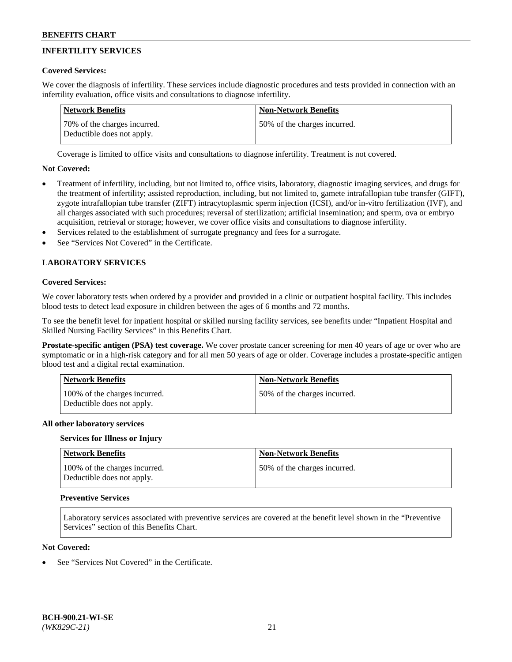# **INFERTILITY SERVICES**

## **Covered Services:**

We cover the diagnosis of infertility. These services include diagnostic procedures and tests provided in connection with an infertility evaluation, office visits and consultations to diagnose infertility.

| Network Benefits                                           | <b>Non-Network Benefits</b>  |
|------------------------------------------------------------|------------------------------|
| 70% of the charges incurred.<br>Deductible does not apply. | 50% of the charges incurred. |

Coverage is limited to office visits and consultations to diagnose infertility. Treatment is not covered.

## **Not Covered:**

- Treatment of infertility, including, but not limited to, office visits, laboratory, diagnostic imaging services, and drugs for the treatment of infertility; assisted reproduction, including, but not limited to, gamete intrafallopian tube transfer (GIFT), zygote intrafallopian tube transfer (ZIFT) intracytoplasmic sperm injection (ICSI), and/or in-vitro fertilization (IVF), and all charges associated with such procedures; reversal of sterilization; artificial insemination; and sperm, ova or embryo acquisition, retrieval or storage; however, we cover office visits and consultations to diagnose infertility.
- Services related to the establishment of surrogate pregnancy and fees for a surrogate.
- See "Services Not Covered" in the Certificate.

## **LABORATORY SERVICES**

### **Covered Services:**

We cover laboratory tests when ordered by a provider and provided in a clinic or outpatient hospital facility. This includes blood tests to detect lead exposure in children between the ages of 6 months and 72 months.

To see the benefit level for inpatient hospital or skilled nursing facility services, see benefits under "Inpatient Hospital and Skilled Nursing Facility Services" in this Benefits Chart.

**Prostate-specific antigen (PSA) test coverage.** We cover prostate cancer screening for men 40 years of age or over who are symptomatic or in a high-risk category and for all men 50 years of age or older. Coverage includes a prostate-specific antigen blood test and a digital rectal examination.

| <b>Network Benefits</b>                                     | <b>Non-Network Benefits</b>   |
|-------------------------------------------------------------|-------------------------------|
| 100% of the charges incurred.<br>Deductible does not apply. | 150% of the charges incurred. |

#### **All other laboratory services**

#### **Services for Illness or Injury**

| <b>Network Benefits</b>                                     | <b>Non-Network Benefits</b>  |
|-------------------------------------------------------------|------------------------------|
| 100% of the charges incurred.<br>Deductible does not apply. | 50% of the charges incurred. |

#### **Preventive Services**

Laboratory services associated with preventive services are covered at the benefit level shown in the "Preventive Services" section of this Benefits Chart.

## **Not Covered:**

See "Services Not Covered" in the Certificate.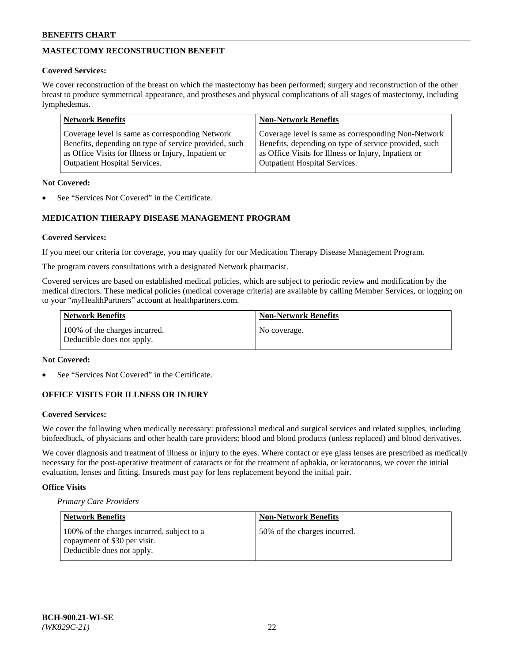# **MASTECTOMY RECONSTRUCTION BENEFIT**

## **Covered Services:**

We cover reconstruction of the breast on which the mastectomy has been performed; surgery and reconstruction of the other breast to produce symmetrical appearance, and prostheses and physical complications of all stages of mastectomy, including lymphedemas.

| <b>Network Benefits</b>                               | <b>Non-Network Benefits</b>                           |
|-------------------------------------------------------|-------------------------------------------------------|
| Coverage level is same as corresponding Network       | Coverage level is same as corresponding Non-Network   |
| Benefits, depending on type of service provided, such | Benefits, depending on type of service provided, such |
| as Office Visits for Illness or Injury, Inpatient or  | as Office Visits for Illness or Injury, Inpatient or  |
| <b>Outpatient Hospital Services.</b>                  | <b>Outpatient Hospital Services.</b>                  |

## **Not Covered:**

See "Services Not Covered" in the Certificate.

# **MEDICATION THERAPY DISEASE MANAGEMENT PROGRAM**

## **Covered Services:**

If you meet our criteria for coverage, you may qualify for our Medication Therapy Disease Management Program.

The program covers consultations with a designated Network pharmacist.

Covered services are based on established medical policies, which are subject to periodic review and modification by the medical directors. These medical policies (medical coverage criteria) are available by calling Member Services, or logging on to your "*my*HealthPartners" account at [healthpartners.com.](http://www.healthpartners.com/)

| Network Benefits                                            | <b>Non-Network Benefits</b> |
|-------------------------------------------------------------|-----------------------------|
| 100% of the charges incurred.<br>Deductible does not apply. | No coverage.                |

### **Not Covered:**

See "Services Not Covered" in the Certificate.

## **OFFICE VISITS FOR ILLNESS OR INJURY**

#### **Covered Services:**

We cover the following when medically necessary: professional medical and surgical services and related supplies, including biofeedback, of physicians and other health care providers; blood and blood products (unless replaced) and blood derivatives.

We cover diagnosis and treatment of illness or injury to the eyes. Where contact or eye glass lenses are prescribed as medically necessary for the post-operative treatment of cataracts or for the treatment of aphakia, or keratoconus, we cover the initial evaluation, lenses and fitting. Insureds must pay for lens replacement beyond the initial pair.

## **Office Visits**

*Primary Care Providers*

| Network Benefits                                                                                         | <b>Non-Network Benefits</b>  |
|----------------------------------------------------------------------------------------------------------|------------------------------|
| 100% of the charges incurred, subject to a<br>copayment of \$30 per visit.<br>Deductible does not apply. | 50% of the charges incurred. |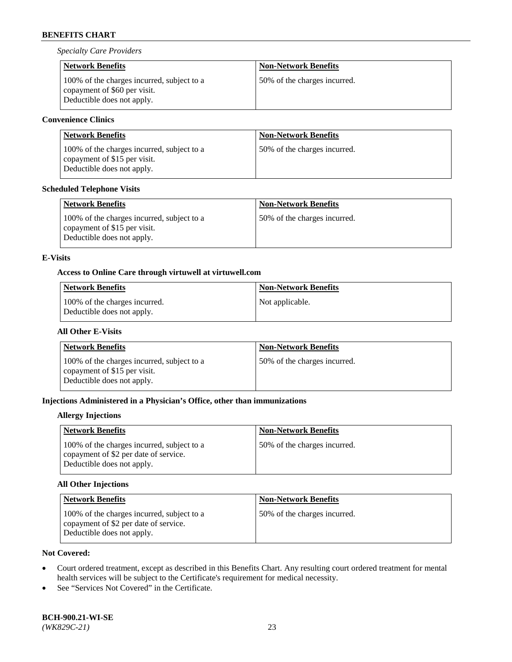*Specialty Care Providers*

| <b>Network Benefits</b>                                                                                  | <b>Non-Network Benefits</b>  |
|----------------------------------------------------------------------------------------------------------|------------------------------|
| 100% of the charges incurred, subject to a<br>copayment of \$60 per visit.<br>Deductible does not apply. | 50% of the charges incurred. |

# **Convenience Clinics**

| <b>Network Benefits</b>                                                                                  | <b>Non-Network Benefits</b>  |
|----------------------------------------------------------------------------------------------------------|------------------------------|
| 100% of the charges incurred, subject to a<br>copayment of \$15 per visit.<br>Deductible does not apply. | 50% of the charges incurred. |

## **Scheduled Telephone Visits**

| <b>Network Benefits</b>                                                                                  | <b>Non-Network Benefits</b>  |
|----------------------------------------------------------------------------------------------------------|------------------------------|
| 100% of the charges incurred, subject to a<br>copayment of \$15 per visit.<br>Deductible does not apply. | 50% of the charges incurred. |

## **E-Visits**

## **Access to Online Care through virtuwell a[t virtuwell.com](https://www.virtuwell.com/)**

| <b>Network Benefits</b>                                     | Non-Network Benefits |
|-------------------------------------------------------------|----------------------|
| 100% of the charges incurred.<br>Deductible does not apply. | Not applicable.      |

## **All Other E-Visits**

| <b>Network Benefits</b>                                                                                  | <b>Non-Network Benefits</b>  |
|----------------------------------------------------------------------------------------------------------|------------------------------|
| 100% of the charges incurred, subject to a<br>copayment of \$15 per visit.<br>Deductible does not apply. | 50% of the charges incurred. |

## **Injections Administered in a Physician's Office, other than immunizations**

## **Allergy Injections**

| <b>Network Benefits</b>                                                                                           | <b>Non-Network Benefits</b>  |
|-------------------------------------------------------------------------------------------------------------------|------------------------------|
| 100% of the charges incurred, subject to a<br>copayment of \$2 per date of service.<br>Deductible does not apply. | 50% of the charges incurred. |

## **All Other Injections**

| <b>Network Benefits</b>                                                                                           | <b>Non-Network Benefits</b>  |
|-------------------------------------------------------------------------------------------------------------------|------------------------------|
| 100% of the charges incurred, subject to a<br>copayment of \$2 per date of service.<br>Deductible does not apply. | 50% of the charges incurred. |

# **Not Covered:**

- Court ordered treatment, except as described in this Benefits Chart. Any resulting court ordered treatment for mental health services will be subject to the Certificate's requirement for medical necessity.
- See "Services Not Covered" in the Certificate.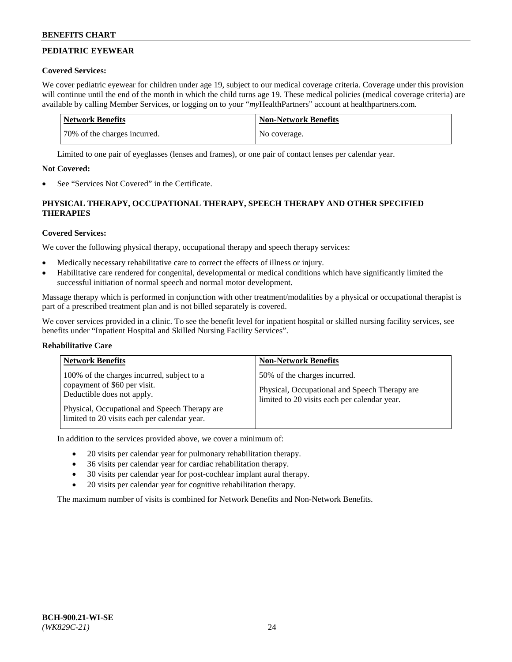# **PEDIATRIC EYEWEAR**

## **Covered Services:**

We cover pediatric eyewear for children under age 19, subject to our medical coverage criteria. Coverage under this provision will continue until the end of the month in which the child turns age 19. These medical policies (medical coverage criteria) are available by calling Member Services, or logging on to your "*my*HealthPartners" account a[t healthpartners.com.](https://www.healthpartners.com/hp/index.html)

| Network Benefits             | <b>Non-Network Benefits</b> |
|------------------------------|-----------------------------|
| 70% of the charges incurred. | No coverage.                |

Limited to one pair of eyeglasses (lenses and frames), or one pair of contact lenses per calendar year.

## **Not Covered:**

See "Services Not Covered" in the Certificate.

# **PHYSICAL THERAPY, OCCUPATIONAL THERAPY, SPEECH THERAPY AND OTHER SPECIFIED THERAPIES**

## **Covered Services:**

We cover the following physical therapy, occupational therapy and speech therapy services:

- Medically necessary rehabilitative care to correct the effects of illness or injury.
- Habilitative care rendered for congenital, developmental or medical conditions which have significantly limited the successful initiation of normal speech and normal motor development.

Massage therapy which is performed in conjunction with other treatment/modalities by a physical or occupational therapist is part of a prescribed treatment plan and is not billed separately is covered.

We cover services provided in a clinic. To see the benefit level for inpatient hospital or skilled nursing facility services, see benefits under "Inpatient Hospital and Skilled Nursing Facility Services".

## **Rehabilitative Care**

| <b>Network Benefits</b>                                                                                                                                                                                   | <b>Non-Network Benefits</b>                                                                                                   |
|-----------------------------------------------------------------------------------------------------------------------------------------------------------------------------------------------------------|-------------------------------------------------------------------------------------------------------------------------------|
| 100% of the charges incurred, subject to a<br>copayment of \$60 per visit.<br>Deductible does not apply.<br>Physical, Occupational and Speech Therapy are<br>limited to 20 visits each per calendar year. | 50% of the charges incurred.<br>Physical, Occupational and Speech Therapy are<br>limited to 20 visits each per calendar year. |

In addition to the services provided above, we cover a minimum of:

- 20 visits per calendar year for pulmonary rehabilitation therapy.
- 36 visits per calendar year for cardiac rehabilitation therapy.
- 30 visits per calendar year for post-cochlear implant aural therapy.
- 20 visits per calendar year for cognitive rehabilitation therapy.

The maximum number of visits is combined for Network Benefits and Non-Network Benefits.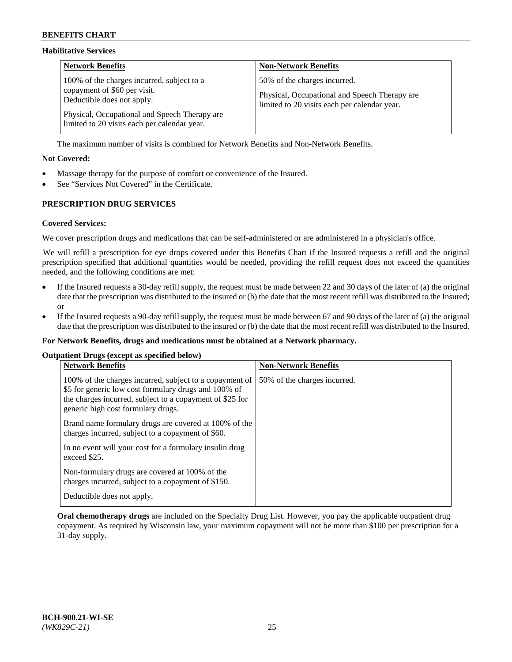### **Habilitative Services**

| <b>Network Benefits</b>                                                                                                                                                                                   | <b>Non-Network Benefits</b>                                                                                                   |
|-----------------------------------------------------------------------------------------------------------------------------------------------------------------------------------------------------------|-------------------------------------------------------------------------------------------------------------------------------|
| 100% of the charges incurred, subject to a<br>copayment of \$60 per visit.<br>Deductible does not apply.<br>Physical, Occupational and Speech Therapy are<br>limited to 20 visits each per calendar year. | 50% of the charges incurred.<br>Physical, Occupational and Speech Therapy are<br>limited to 20 visits each per calendar year. |

The maximum number of visits is combined for Network Benefits and Non-Network Benefits.

## **Not Covered:**

- Massage therapy for the purpose of comfort or convenience of the Insured.
- See "Services Not Covered" in the Certificate.

## **PRESCRIPTION DRUG SERVICES**

### **Covered Services:**

We cover prescription drugs and medications that can be self-administered or are administered in a physician's office.

We will refill a prescription for eye drops covered under this Benefits Chart if the Insured requests a refill and the original prescription specified that additional quantities would be needed, providing the refill request does not exceed the quantities needed, and the following conditions are met:

- If the Insured requests a 30-day refill supply, the request must be made between 22 and 30 days of the later of (a) the original date that the prescription was distributed to the insured or (b) the date that the most recent refill was distributed to the Insured; or
- If the Insured requests a 90-day refill supply, the request must be made between 67 and 90 days of the later of (a) the original date that the prescription was distributed to the insured or (b) the date that the most recent refill was distributed to the Insured.

#### **For Network Benefits, drugs and medications must be obtained at a Network pharmacy.**

#### **Outpatient Drugs (except as specified below)**

| <b>Network Benefits</b>                                                                                                                                                                                           | <b>Non-Network Benefits</b>  |
|-------------------------------------------------------------------------------------------------------------------------------------------------------------------------------------------------------------------|------------------------------|
| 100% of the charges incurred, subject to a copayment of<br>\$5 for generic low cost formulary drugs and 100% of<br>the charges incurred, subject to a copayment of \$25 for<br>generic high cost formulary drugs. | 50% of the charges incurred. |
| Brand name formulary drugs are covered at 100% of the<br>charges incurred, subject to a copayment of \$60.                                                                                                        |                              |
| In no event will your cost for a formulary insulin drug<br>exceed \$25.                                                                                                                                           |                              |
| Non-formulary drugs are covered at 100% of the<br>charges incurred, subject to a copayment of \$150.                                                                                                              |                              |
| Deductible does not apply.                                                                                                                                                                                        |                              |

**Oral chemotherapy drugs** are included on the Specialty Drug List. However, you pay the applicable outpatient drug copayment. As required by Wisconsin law, your maximum copayment will not be more than \$100 per prescription for a 31-day supply.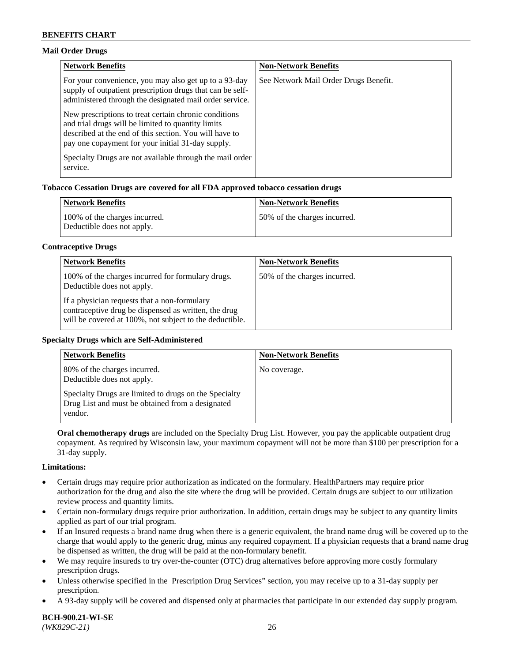## **Mail Order Drugs**

| <b>Network Benefits</b>                                                                                                                                                                                                    | <b>Non-Network Benefits</b>           |
|----------------------------------------------------------------------------------------------------------------------------------------------------------------------------------------------------------------------------|---------------------------------------|
| For your convenience, you may also get up to a 93-day<br>supply of outpatient prescription drugs that can be self-<br>administered through the designated mail order service.                                              | See Network Mail Order Drugs Benefit. |
| New prescriptions to treat certain chronic conditions<br>and trial drugs will be limited to quantity limits<br>described at the end of this section. You will have to<br>pay one copayment for your initial 31-day supply. |                                       |
| Specialty Drugs are not available through the mail order<br>service.                                                                                                                                                       |                                       |

## **Tobacco Cessation Drugs are covered for all FDA approved tobacco cessation drugs**

| <b>Network Benefits</b>                                     | <b>Non-Network Benefits</b>  |
|-------------------------------------------------------------|------------------------------|
| 100% of the charges incurred.<br>Deductible does not apply. | 50% of the charges incurred. |

#### **Contraceptive Drugs**

| <b>Network Benefits</b>                                                                                                                                         | <b>Non-Network Benefits</b>  |
|-----------------------------------------------------------------------------------------------------------------------------------------------------------------|------------------------------|
| 100% of the charges incurred for formulary drugs.<br>Deductible does not apply.                                                                                 | 50% of the charges incurred. |
| If a physician requests that a non-formulary<br>contraceptive drug be dispensed as written, the drug<br>will be covered at 100%, not subject to the deductible. |                              |

#### **Specialty Drugs which are Self-Administered**

| <b>Network Benefits</b>                                                                                              | <b>Non-Network Benefits</b> |
|----------------------------------------------------------------------------------------------------------------------|-----------------------------|
| 80% of the charges incurred.<br>Deductible does not apply.                                                           | No coverage.                |
| Specialty Drugs are limited to drugs on the Specialty<br>Drug List and must be obtained from a designated<br>vendor. |                             |

**Oral chemotherapy drugs** are included on the Specialty Drug List. However, you pay the applicable outpatient drug copayment. As required by Wisconsin law, your maximum copayment will not be more than \$100 per prescription for a 31-day supply.

#### **Limitations:**

- Certain drugs may require prior authorization as indicated on the formulary. HealthPartners may require prior authorization for the drug and also the site where the drug will be provided. Certain drugs are subject to our utilization review process and quantity limits.
- Certain non-formulary drugs require prior authorization. In addition, certain drugs may be subject to any quantity limits applied as part of our trial program.
- If an Insured requests a brand name drug when there is a generic equivalent, the brand name drug will be covered up to the charge that would apply to the generic drug, minus any required copayment. If a physician requests that a brand name drug be dispensed as written, the drug will be paid at the non-formulary benefit.
- We may require insureds to try over-the-counter (OTC) drug alternatives before approving more costly formulary prescription drugs.
- Unless otherwise specified in the Prescription Drug Services" section, you may receive up to a 31-day supply per prescription.
- A 93-day supply will be covered and dispensed only at pharmacies that participate in our extended day supply program.

**BCH-900.21-WI-SE**  *(WK829C-21)* 26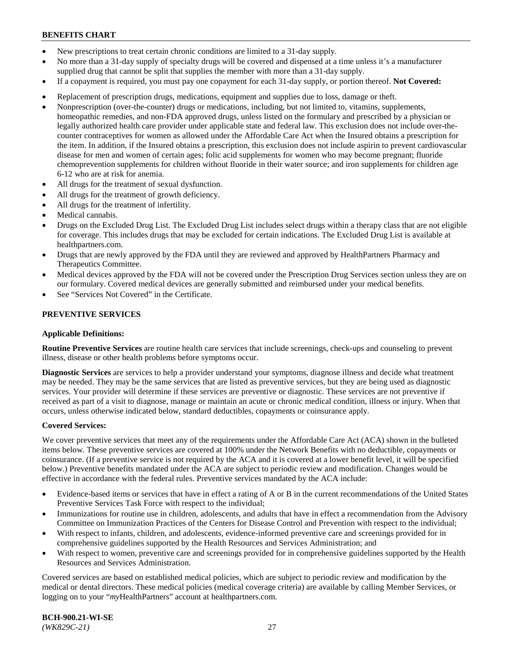- New prescriptions to treat certain chronic conditions are limited to a 31-day supply.
- No more than a 31-day supply of specialty drugs will be covered and dispensed at a time unless it's a manufacturer supplied drug that cannot be split that supplies the member with more than a 31-day supply.
- If a copayment is required, you must pay one copayment for each 31-day supply, or portion thereof. **Not Covered:**
- Replacement of prescription drugs, medications, equipment and supplies due to loss, damage or theft.
- Nonprescription (over-the-counter) drugs or medications, including, but not limited to, vitamins, supplements, homeopathic remedies, and non-FDA approved drugs, unless listed on the formulary and prescribed by a physician or legally authorized health care provider under applicable state and federal law. This exclusion does not include over-thecounter contraceptives for women as allowed under the Affordable Care Act when the Insured obtains a prescription for the item. In addition, if the Insured obtains a prescription, this exclusion does not include aspirin to prevent cardiovascular disease for men and women of certain ages; folic acid supplements for women who may become pregnant; fluoride chemoprevention supplements for children without fluoride in their water source; and iron supplements for children age 6-12 who are at risk for anemia.
- All drugs for the treatment of sexual dysfunction.
- All drugs for the treatment of growth deficiency.
- All drugs for the treatment of infertility.
- Medical cannabis.
- Drugs on the Excluded Drug List. The Excluded Drug List includes select drugs within a therapy class that are not eligible for coverage. This includes drugs that may be excluded for certain indications. The Excluded Drug List is available at [healthpartners.com.](http://www.healthpartners.com/)
- Drugs that are newly approved by the FDA until they are reviewed and approved by HealthPartners Pharmacy and Therapeutics Committee.
- Medical devices approved by the FDA will not be covered under the Prescription Drug Services section unless they are on our formulary. Covered medical devices are generally submitted and reimbursed under your medical benefits.
- See "Services Not Covered" in the Certificate.

## **PREVENTIVE SERVICES**

#### **Applicable Definitions:**

**Routine Preventive Services** are routine health care services that include screenings, check-ups and counseling to prevent illness, disease or other health problems before symptoms occur.

**Diagnostic Services** are services to help a provider understand your symptoms, diagnose illness and decide what treatment may be needed. They may be the same services that are listed as preventive services, but they are being used as diagnostic services. Your provider will determine if these services are preventive or diagnostic. These services are not preventive if received as part of a visit to diagnose, manage or maintain an acute or chronic medical condition, illness or injury. When that occurs, unless otherwise indicated below, standard deductibles, copayments or coinsurance apply.

#### **Covered Services:**

We cover preventive services that meet any of the requirements under the Affordable Care Act (ACA) shown in the bulleted items below. These preventive services are covered at 100% under the Network Benefits with no deductible, copayments or coinsurance. (If a preventive service is not required by the ACA and it is covered at a lower benefit level, it will be specified below.) Preventive benefits mandated under the ACA are subject to periodic review and modification. Changes would be effective in accordance with the federal rules. Preventive services mandated by the ACA include:

- Evidence-based items or services that have in effect a rating of A or B in the current recommendations of the United States Preventive Services Task Force with respect to the individual;
- Immunizations for routine use in children, adolescents, and adults that have in effect a recommendation from the Advisory Committee on Immunization Practices of the Centers for Disease Control and Prevention with respect to the individual;
- With respect to infants, children, and adolescents, evidence-informed preventive care and screenings provided for in comprehensive guidelines supported by the Health Resources and Services Administration; and
- With respect to women, preventive care and screenings provided for in comprehensive guidelines supported by the Health Resources and Services Administration.

Covered services are based on established medical policies, which are subject to periodic review and modification by the medical or dental directors. These medical policies (medical coverage criteria) are available by calling Member Services, or logging on to your "*my*HealthPartners" account at [healthpartners.com.](https://www.healthpartners.com/hp/index.html)

**BCH-900.21-WI-SE**  *(WK829C-21)* 27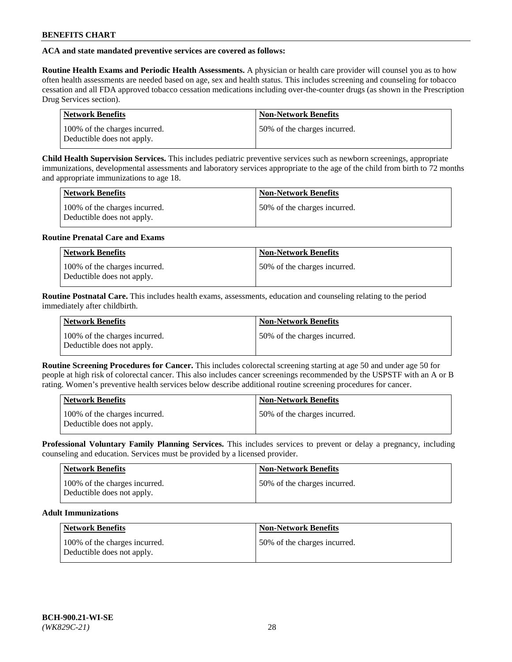## **ACA and state mandated preventive services are covered as follows:**

**Routine Health Exams and Periodic Health Assessments.** A physician or health care provider will counsel you as to how often health assessments are needed based on age, sex and health status. This includes screening and counseling for tobacco cessation and all FDA approved tobacco cessation medications including over-the-counter drugs (as shown in the Prescription Drug Services section).

| Network Benefits                                            | <b>Non-Network Benefits</b>   |
|-------------------------------------------------------------|-------------------------------|
| 100% of the charges incurred.<br>Deductible does not apply. | 150% of the charges incurred. |

**Child Health Supervision Services.** This includes pediatric preventive services such as newborn screenings, appropriate immunizations, developmental assessments and laboratory services appropriate to the age of the child from birth to 72 months and appropriate immunizations to age 18.

| <b>Network Benefits</b>                                     | <b>Non-Network Benefits</b>  |
|-------------------------------------------------------------|------------------------------|
| 100% of the charges incurred.<br>Deductible does not apply. | 50% of the charges incurred. |

### **Routine Prenatal Care and Exams**

| <b>Network Benefits</b>                                     | <b>Non-Network Benefits</b>   |
|-------------------------------------------------------------|-------------------------------|
| 100% of the charges incurred.<br>Deductible does not apply. | 150% of the charges incurred. |

**Routine Postnatal Care.** This includes health exams, assessments, education and counseling relating to the period immediately after childbirth.

| <b>Network Benefits</b>                                     | <b>Non-Network Benefits</b>  |
|-------------------------------------------------------------|------------------------------|
| 100% of the charges incurred.<br>Deductible does not apply. | 50% of the charges incurred. |

**Routine Screening Procedures for Cancer.** This includes colorectal screening starting at age 50 and under age 50 for people at high risk of colorectal cancer. This also includes cancer screenings recommended by the USPSTF with an A or B rating. Women's preventive health services below describe additional routine screening procedures for cancer.

| <b>Network Benefits</b>                                     | <b>Non-Network Benefits</b>  |
|-------------------------------------------------------------|------------------------------|
| 100% of the charges incurred.<br>Deductible does not apply. | 50% of the charges incurred. |

**Professional Voluntary Family Planning Services.** This includes services to prevent or delay a pregnancy, including counseling and education. Services must be provided by a licensed provider.

| Network Benefits                                            | <b>Non-Network Benefits</b>  |
|-------------------------------------------------------------|------------------------------|
| 100% of the charges incurred.<br>Deductible does not apply. | 50% of the charges incurred. |

## **Adult Immunizations**

| <b>Network Benefits</b>                                     | Non-Network Benefits         |
|-------------------------------------------------------------|------------------------------|
| 100% of the charges incurred.<br>Deductible does not apply. | 50% of the charges incurred. |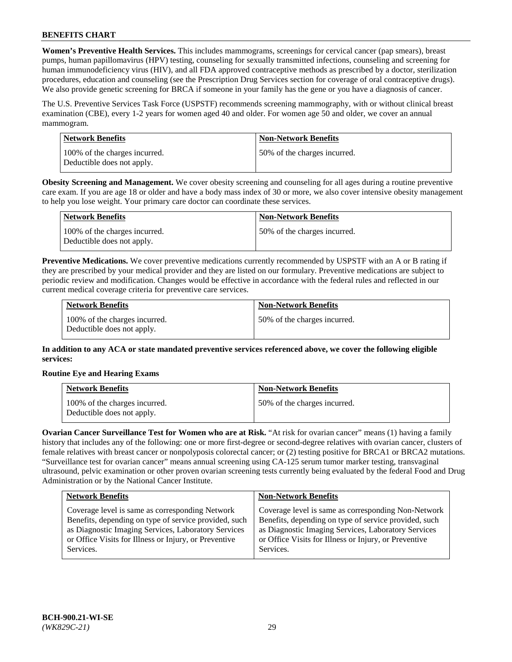**Women's Preventive Health Services.** This includes mammograms, screenings for cervical cancer (pap smears), breast pumps, human papillomavirus (HPV) testing, counseling for sexually transmitted infections, counseling and screening for human immunodeficiency virus (HIV), and all FDA approved contraceptive methods as prescribed by a doctor, sterilization procedures, education and counseling (see the Prescription Drug Services section for coverage of oral contraceptive drugs). We also provide genetic screening for BRCA if someone in your family has the gene or you have a diagnosis of cancer.

The U.S. Preventive Services Task Force (USPSTF) recommends screening mammography, with or without clinical breast examination (CBE), every 1-2 years for women aged 40 and older. For women age 50 and older, we cover an annual mammogram.

| Network Benefits                                            | <b>Non-Network Benefits</b>  |
|-------------------------------------------------------------|------------------------------|
| 100% of the charges incurred.<br>Deductible does not apply. | 50% of the charges incurred. |

**Obesity Screening and Management.** We cover obesity screening and counseling for all ages during a routine preventive care exam. If you are age 18 or older and have a body mass index of 30 or more, we also cover intensive obesity management to help you lose weight. Your primary care doctor can coordinate these services.

| Network Benefits                                            | <b>Non-Network Benefits</b>  |
|-------------------------------------------------------------|------------------------------|
| 100% of the charges incurred.<br>Deductible does not apply. | 50% of the charges incurred. |

**Preventive Medications.** We cover preventive medications currently recommended by USPSTF with an A or B rating if they are prescribed by your medical provider and they are listed on our formulary. Preventive medications are subject to periodic review and modification. Changes would be effective in accordance with the federal rules and reflected in our current medical coverage criteria for preventive care services.

| <b>Network Benefits</b>                                     | <b>Non-Network Benefits</b>  |
|-------------------------------------------------------------|------------------------------|
| 100% of the charges incurred.<br>Deductible does not apply. | 50% of the charges incurred. |

**In addition to any ACA or state mandated preventive services referenced above, we cover the following eligible services:**

## **Routine Eye and Hearing Exams**

| <b>Network Benefits</b>                                     | <b>Non-Network Benefits</b>  |
|-------------------------------------------------------------|------------------------------|
| 100% of the charges incurred.<br>Deductible does not apply. | 50% of the charges incurred. |

**Ovarian Cancer Surveillance Test for Women who are at Risk.** "At risk for ovarian cancer" means (1) having a family history that includes any of the following: one or more first-degree or second-degree relatives with ovarian cancer, clusters of female relatives with breast cancer or nonpolyposis colorectal cancer; or (2) testing positive for BRCA1 or BRCA2 mutations. "Surveillance test for ovarian cancer" means annual screening using CA-125 serum tumor marker testing, transvaginal ultrasound, pelvic examination or other proven ovarian screening tests currently being evaluated by the federal Food and Drug Administration or by the National Cancer Institute.

| <b>Network Benefits</b>                               | <b>Non-Network Benefits</b>                           |
|-------------------------------------------------------|-------------------------------------------------------|
| Coverage level is same as corresponding Network       | Coverage level is same as corresponding Non-Network   |
| Benefits, depending on type of service provided, such | Benefits, depending on type of service provided, such |
| as Diagnostic Imaging Services, Laboratory Services   | as Diagnostic Imaging Services, Laboratory Services   |
| or Office Visits for Illness or Injury, or Preventive | or Office Visits for Illness or Injury, or Preventive |
| Services.                                             | Services.                                             |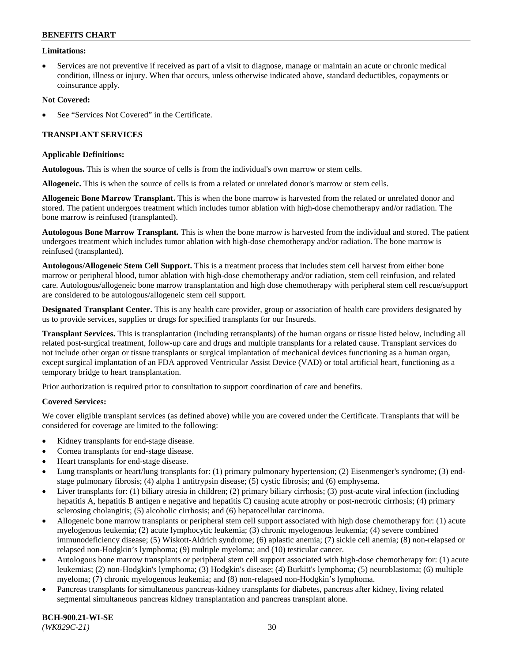### **Limitations:**

• Services are not preventive if received as part of a visit to diagnose, manage or maintain an acute or chronic medical condition, illness or injury. When that occurs, unless otherwise indicated above, standard deductibles, copayments or coinsurance apply.

### **Not Covered:**

See "Services Not Covered" in the Certificate.

## **TRANSPLANT SERVICES**

#### **Applicable Definitions:**

**Autologous.** This is when the source of cells is from the individual's own marrow or stem cells.

**Allogeneic.** This is when the source of cells is from a related or unrelated donor's marrow or stem cells.

**Allogeneic Bone Marrow Transplant.** This is when the bone marrow is harvested from the related or unrelated donor and stored. The patient undergoes treatment which includes tumor ablation with high-dose chemotherapy and/or radiation. The bone marrow is reinfused (transplanted).

**Autologous Bone Marrow Transplant.** This is when the bone marrow is harvested from the individual and stored. The patient undergoes treatment which includes tumor ablation with high-dose chemotherapy and/or radiation. The bone marrow is reinfused (transplanted).

**Autologous/Allogeneic Stem Cell Support.** This is a treatment process that includes stem cell harvest from either bone marrow or peripheral blood, tumor ablation with high-dose chemotherapy and/or radiation, stem cell reinfusion, and related care. Autologous/allogeneic bone marrow transplantation and high dose chemotherapy with peripheral stem cell rescue/support are considered to be autologous/allogeneic stem cell support.

**Designated Transplant Center.** This is any health care provider, group or association of health care providers designated by us to provide services, supplies or drugs for specified transplants for our Insureds.

**Transplant Services.** This is transplantation (including retransplants) of the human organs or tissue listed below, including all related post-surgical treatment, follow-up care and drugs and multiple transplants for a related cause. Transplant services do not include other organ or tissue transplants or surgical implantation of mechanical devices functioning as a human organ, except surgical implantation of an FDA approved Ventricular Assist Device (VAD) or total artificial heart, functioning as a temporary bridge to heart transplantation.

Prior authorization is required prior to consultation to support coordination of care and benefits.

#### **Covered Services:**

We cover eligible transplant services (as defined above) while you are covered under the Certificate. Transplants that will be considered for coverage are limited to the following:

- Kidney transplants for end-stage disease.
- Cornea transplants for end-stage disease.
- Heart transplants for end-stage disease.
- Lung transplants or heart/lung transplants for: (1) primary pulmonary hypertension; (2) Eisenmenger's syndrome; (3) endstage pulmonary fibrosis; (4) alpha 1 antitrypsin disease; (5) cystic fibrosis; and (6) emphysema.
- Liver transplants for: (1) biliary atresia in children; (2) primary biliary cirrhosis; (3) post-acute viral infection (including hepatitis A, hepatitis B antigen e negative and hepatitis C) causing acute atrophy or post-necrotic cirrhosis; (4) primary sclerosing cholangitis; (5) alcoholic cirrhosis; and (6) hepatocellular carcinoma.
- Allogeneic bone marrow transplants or peripheral stem cell support associated with high dose chemotherapy for: (1) acute myelogenous leukemia; (2) acute lymphocytic leukemia; (3) chronic myelogenous leukemia; (4) severe combined immunodeficiency disease; (5) Wiskott-Aldrich syndrome; (6) aplastic anemia; (7) sickle cell anemia; (8) non-relapsed or relapsed non-Hodgkin's lymphoma; (9) multiple myeloma; and (10) testicular cancer.
- Autologous bone marrow transplants or peripheral stem cell support associated with high-dose chemotherapy for: (1) acute leukemias; (2) non-Hodgkin's lymphoma; (3) Hodgkin's disease; (4) Burkitt's lymphoma; (5) neuroblastoma; (6) multiple myeloma; (7) chronic myelogenous leukemia; and (8) non-relapsed non-Hodgkin's lymphoma.
- Pancreas transplants for simultaneous pancreas-kidney transplants for diabetes, pancreas after kidney, living related segmental simultaneous pancreas kidney transplantation and pancreas transplant alone.